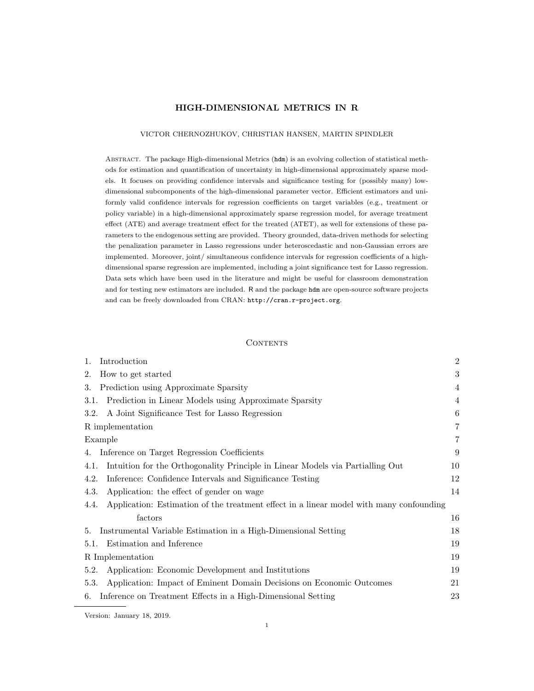# HIGH-DIMENSIONAL METRICS IN R

## VICTOR CHERNOZHUKOV, CHRISTIAN HANSEN, MARTIN SPINDLER

Abstract. The package High-dimensional Metrics (hdm) is an evolving collection of statistical methods for estimation and quantification of uncertainty in high-dimensional approximately sparse models. It focuses on providing confidence intervals and significance testing for (possibly many) lowdimensional subcomponents of the high-dimensional parameter vector. Efficient estimators and uniformly valid confidence intervals for regression coefficients on target variables (e.g., treatment or policy variable) in a high-dimensional approximately sparse regression model, for average treatment effect (ATE) and average treatment effect for the treated (ATET), as well for extensions of these parameters to the endogenous setting are provided. Theory grounded, data-driven methods for selecting the penalization parameter in Lasso regressions under heteroscedastic and non-Gaussian errors are implemented. Moreover, joint/ simultaneous confidence intervals for regression coefficients of a highdimensional sparse regression are implemented, including a joint significance test for Lasso regression. Data sets which have been used in the literature and might be useful for classroom demonstration and for testing new estimators are included. R and the package hdm are open-source software projects and can be freely downloaded from CRAN: http://cran.r-project.org.

### **CONTENTS**

| Introduction<br>1.                                                                              | $\overline{2}$ |
|-------------------------------------------------------------------------------------------------|----------------|
| How to get started<br>2.                                                                        | 3              |
| Prediction using Approximate Sparsity<br>3.                                                     | 4              |
| Prediction in Linear Models using Approximate Sparsity<br>3.1.                                  | 4              |
| A Joint Significance Test for Lasso Regression<br>3.2.                                          | 6              |
| R implementation                                                                                | 7              |
| Example                                                                                         | 7              |
| Inference on Target Regression Coefficients<br>4.                                               | 9              |
| Intuition for the Orthogonality Principle in Linear Models via Partialling Out<br>4.1.          | 10             |
| Inference: Confidence Intervals and Significance Testing<br>4.2.                                | 12             |
| Application: the effect of gender on wage<br>4.3.                                               | 14             |
| Application: Estimation of the treatment effect in a linear model with many confounding<br>4.4. |                |
| factors                                                                                         | 16             |
| Instrumental Variable Estimation in a High-Dimensional Setting<br>5.                            | 18             |
| Estimation and Inference<br>5.1.                                                                | 19             |
| R Implementation                                                                                | 19             |
| Application: Economic Development and Institutions<br>5.2.                                      | 19             |
| Application: Impact of Eminent Domain Decisions on Economic Outcomes<br>5.3.                    | 21             |
| Inference on Treatment Effects in a High-Dimensional Setting<br>6.                              | 23             |

Version: January 18, 2019.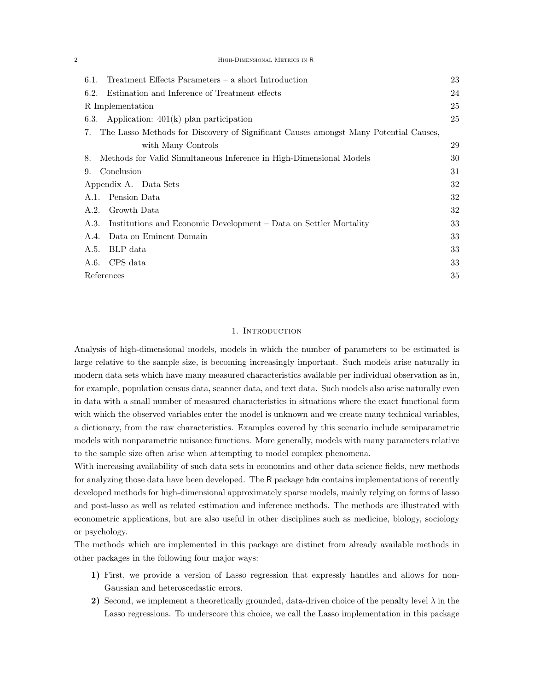| HIGH-DIMENSIONAL METRICS IN R |
|-------------------------------|
|                               |

| $Treatment$ Effects Parameters – a short Introduction<br>6.1.                              | 23 |  |  |
|--------------------------------------------------------------------------------------------|----|--|--|
| Estimation and Inference of Treatment effects<br>6.2.                                      | 24 |  |  |
| R Implementation                                                                           | 25 |  |  |
| Application: $401(k)$ plan participation<br>6.3.                                           |    |  |  |
| The Lasso Methods for Discovery of Significant Causes amongst Many Potential Causes,<br>7. |    |  |  |
| with Many Controls                                                                         | 29 |  |  |
| Methods for Valid Simultaneous Inference in High-Dimensional Models<br>8.                  | 30 |  |  |
| Conclusion<br>9.                                                                           | 31 |  |  |
| Appendix A. Data Sets                                                                      | 32 |  |  |
| Pension Data<br>A.1.                                                                       | 32 |  |  |
| Growth Data<br>A.2.                                                                        | 32 |  |  |
| Institutions and Economic Development - Data on Settler Mortality<br>A.3.                  | 33 |  |  |
| Data on Eminent Domain<br>A.4.                                                             | 33 |  |  |
| BLP data<br>A.5.                                                                           | 33 |  |  |
| CPS data<br>A.6.                                                                           | 33 |  |  |
| References                                                                                 | 35 |  |  |
|                                                                                            |    |  |  |

# 1. INTRODUCTION

Analysis of high-dimensional models, models in which the number of parameters to be estimated is large relative to the sample size, is becoming increasingly important. Such models arise naturally in modern data sets which have many measured characteristics available per individual observation as in, for example, population census data, scanner data, and text data. Such models also arise naturally even in data with a small number of measured characteristics in situations where the exact functional form with which the observed variables enter the model is unknown and we create many technical variables, a dictionary, from the raw characteristics. Examples covered by this scenario include semiparametric models with nonparametric nuisance functions. More generally, models with many parameters relative to the sample size often arise when attempting to model complex phenomena.

With increasing availability of such data sets in economics and other data science fields, new methods for analyzing those data have been developed. The R package hdm contains implementations of recently developed methods for high-dimensional approximately sparse models, mainly relying on forms of lasso and post-lasso as well as related estimation and inference methods. The methods are illustrated with econometric applications, but are also useful in other disciplines such as medicine, biology, sociology or psychology.

The methods which are implemented in this package are distinct from already available methods in other packages in the following four major ways:

- 1) First, we provide a version of Lasso regression that expressly handles and allows for non-Gaussian and heteroscedastic errors.
- 2) Second, we implement a theoretically grounded, data-driven choice of the penalty level  $\lambda$  in the Lasso regressions. To underscore this choice, we call the Lasso implementation in this package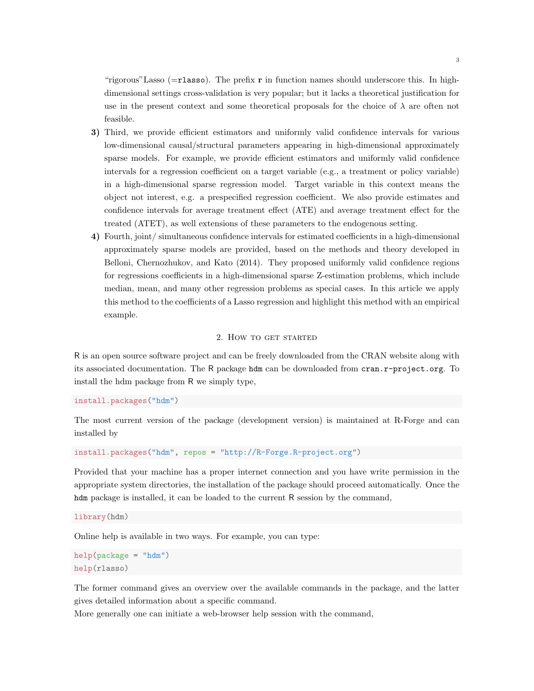"rigorous"Lasso ( $=r$ lasso). The prefix r in function names should underscore this. In highdimensional settings cross-validation is very popular; but it lacks a theoretical justification for use in the present context and some theoretical proposals for the choice of  $\lambda$  are often not feasible.

- 3) Third, we provide efficient estimators and uniformly valid confidence intervals for various low-dimensional causal/structural parameters appearing in high-dimensional approximately sparse models. For example, we provide efficient estimators and uniformly valid confidence intervals for a regression coefficient on a target variable (e.g., a treatment or policy variable) in a high-dimensional sparse regression model. Target variable in this context means the object not interest, e.g. a prespecified regression coefficient. We also provide estimates and confidence intervals for average treatment effect (ATE) and average treatment effect for the treated (ATET), as well extensions of these parameters to the endogenous setting.
- 4) Fourth, joint/ simultaneous confidence intervals for estimated coefficients in a high-dimensional approximately sparse models are provided, based on the methods and theory developed in Belloni, Chernozhukov, and Kato (2014). They proposed uniformly valid confidence regions for regressions coefficients in a high-dimensional sparse Z-estimation problems, which include median, mean, and many other regression problems as special cases. In this article we apply this method to the coefficients of a Lasso regression and highlight this method with an empirical example.

## 2. How to get started

R is an open source software project and can be freely downloaded from the CRAN website along with its associated documentation. The R package hdm can be downloaded from cran.r-project.org. To install the hdm package from R we simply type,

install.packages("hdm")

The most current version of the package (development version) is maintained at R-Forge and can installed by

install.packages("hdm", repos = "http://R-Forge.R-project.org")

Provided that your machine has a proper internet connection and you have write permission in the appropriate system directories, the installation of the package should proceed automatically. Once the hdm package is installed, it can be loaded to the current R session by the command,

library(hdm)

Online help is available in two ways. For example, you can type:

```
help(package = "hdm")
help(rlasso)
```
The former command gives an overview over the available commands in the package, and the latter gives detailed information about a specific command.

More generally one can initiate a web-browser help session with the command,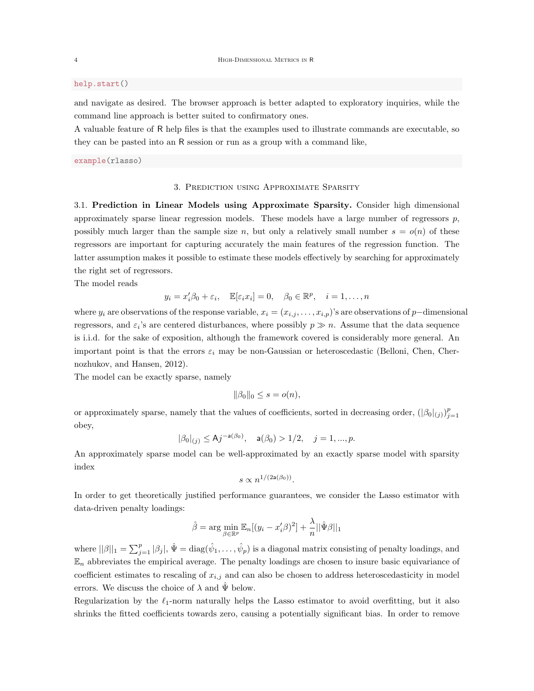## help.start()

and navigate as desired. The browser approach is better adapted to exploratory inquiries, while the command line approach is better suited to confirmatory ones.

A valuable feature of R help files is that the examples used to illustrate commands are executable, so they can be pasted into an R session or run as a group with a command like,

example(rlasso)

# 3. Prediction using Approximate Sparsity

3.1. Prediction in Linear Models using Approximate Sparsity. Consider high dimensional approximately sparse linear regression models. These models have a large number of regressors  $p$ , possibly much larger than the sample size n, but only a relatively small number  $s = o(n)$  of these regressors are important for capturing accurately the main features of the regression function. The latter assumption makes it possible to estimate these models effectively by searching for approximately the right set of regressors.

The model reads

$$
y_i = x_i'\beta_0 + \varepsilon_i
$$
,  $\mathbb{E}[\varepsilon_i x_i] = 0$ ,  $\beta_0 \in \mathbb{R}^p$ ,  $i = 1, ..., n$ 

where  $y_i$  are observations of the response variable,  $x_i = (x_{i,j}, \ldots, x_{i,p})$ 's are observations of p−dimensional regressors, and  $\varepsilon_i$ 's are centered disturbances, where possibly  $p \gg n$ . Assume that the data sequence is i.i.d. for the sake of exposition, although the framework covered is considerably more general. An important point is that the errors  $\varepsilon_i$  may be non-Gaussian or heteroscedastic (Belloni, Chen, Chernozhukov, and Hansen, 2012).

The model can be exactly sparse, namely

$$
\|\beta_0\|_0 \le s = o(n),
$$

or approximately sparse, namely that the values of coefficients, sorted in decreasing order,  $(|\beta_0|_{(j)})_{j=1}^p$ obey,

$$
|\beta_0|_{(j)} \le \mathsf{A}j^{-\mathsf{a}(\beta_0)}, \quad \mathsf{a}(\beta_0) > 1/2, \quad j = 1, ..., p.
$$

An approximately sparse model can be well-approximated by an exactly sparse model with sparsity index

$$
s \propto n^{1/(2{\rm a}(\beta_0))}.
$$

In order to get theoretically justified performance guarantees, we consider the Lasso estimator with data-driven penalty loadings:

$$
\hat{\beta} = \arg \min_{\beta \in \mathbb{R}^p} \mathbb{E}_n[(y_i - x_i'\beta)^2] + \frac{\lambda}{n} ||\hat{\Psi}\beta||_1
$$

where  $||\beta||_1 = \sum_{j=1}^p |\beta_j|$ ,  $\hat{\Psi} = \text{diag}(\hat{\psi}_1, \dots, \hat{\psi}_p)$  is a diagonal matrix consisting of penalty loadings, and  $\mathbb{E}_n$  abbreviates the empirical average. The penalty loadings are chosen to insure basic equivariance of coefficient estimates to rescaling of  $x_{i,j}$  and can also be chosen to address heteroscedasticity in model errors. We discuss the choice of  $\lambda$  and  $\hat{\Psi}$  below.

Regularization by the  $\ell_1$ -norm naturally helps the Lasso estimator to avoid overfitting, but it also shrinks the fitted coefficients towards zero, causing a potentially significant bias. In order to remove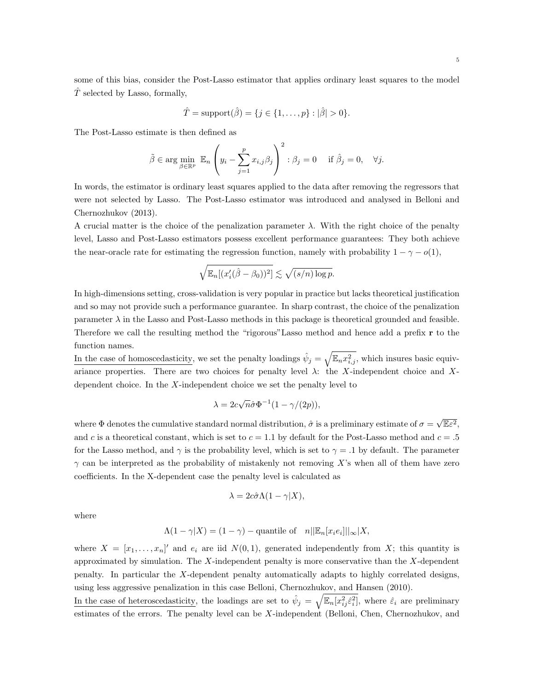some of this bias, consider the Post-Lasso estimator that applies ordinary least squares to the model  $T$  selected by Lasso, formally,

$$
\hat{T} = \text{support}(\hat{\beta}) = \{j \in \{1, ..., p\} : |\hat{\beta}| > 0\}.
$$

The Post-Lasso estimate is then defined as

$$
\tilde{\beta} \in \arg \min_{\beta \in \mathbb{R}^p} \mathbb{E}_n \left( y_i - \sum_{j=1}^p x_{i,j} \beta_j \right)^2 : \beta_j = 0 \quad \text{if } \hat{\beta}_j = 0, \quad \forall j.
$$

In words, the estimator is ordinary least squares applied to the data after removing the regressors that were not selected by Lasso. The Post-Lasso estimator was introduced and analysed in Belloni and Chernozhukov (2013).

A crucial matter is the choice of the penalization parameter  $\lambda$ . With the right choice of the penalty level, Lasso and Post-Lasso estimators possess excellent performance guarantees: They both achieve the near-oracle rate for estimating the regression function, namely with probability  $1 - \gamma - o(1)$ ,

$$
\sqrt{\mathbb{E}_n[(x_i'(\hat{\beta}-\beta_0))^2]} \lesssim \sqrt{(s/n)\log p}.
$$

In high-dimensions setting, cross-validation is very popular in practice but lacks theoretical justification and so may not provide such a performance guarantee. In sharp contrast, the choice of the penalization parameter  $\lambda$  in the Lasso and Post-Lasso methods in this package is theoretical grounded and feasible. Therefore we call the resulting method the "rigorous"Lasso method and hence add a prefix r to the function names.

In the case of homoscedasticity, we set the penalty loadings  $\hat{\psi}_j = \sqrt{\mathbb{E}_n x_{i,j}^2}$ , which insures basic equivariance properties. There are two choices for penalty level  $\lambda$ : the X-independent choice and Xdependent choice. In the X-independent choice we set the penalty level to

$$
\lambda = 2c\sqrt{n}\hat{\sigma}\Phi^{-1}(1 - \gamma/(2p)),
$$

where  $\Phi$  denotes the cumulative standard normal distribution,  $\hat{\sigma}$  is a preliminary estimate of  $\sigma =$  $\sqrt{\mathbb{E}\varepsilon^2},$ and c is a theoretical constant, which is set to  $c = 1.1$  by default for the Post-Lasso method and  $c = .5$ for the Lasso method, and  $\gamma$  is the probability level, which is set to  $\gamma = .1$  by default. The parameter  $\gamma$  can be interpreted as the probability of mistakenly not removing X's when all of them have zero coefficients. In the X-dependent case the penalty level is calculated as

$$
\lambda = 2c\hat{\sigma}\Lambda(1-\gamma|X),
$$

where

$$
\Lambda(1-\gamma|X) = (1-\gamma) - \text{quantile of} \quad n||\mathbb{E}_n[x_i e_i]||_{\infty}|X,
$$

where  $X = [x_1, \ldots, x_n]'$  and  $e_i$  are iid  $N(0, 1)$ , generated independently from X; this quantity is approximated by simulation. The  $X$ -independent penalty is more conservative than the  $X$ -dependent penalty. In particular the X-dependent penalty automatically adapts to highly correlated designs, using less aggressive penalization in this case Belloni, Chernozhukov, and Hansen (2010).

In the case of heteroscedasticity, the loadings are set to  $\hat{\psi}_j = \sqrt{\mathbb{E}_n[x_{ij}^2 \hat{\varepsilon}_i^2]}$ , where  $\hat{\varepsilon}_i$  are preliminary estimates of the errors. The penalty level can be X-independent (Belloni, Chen, Chernozhukov, and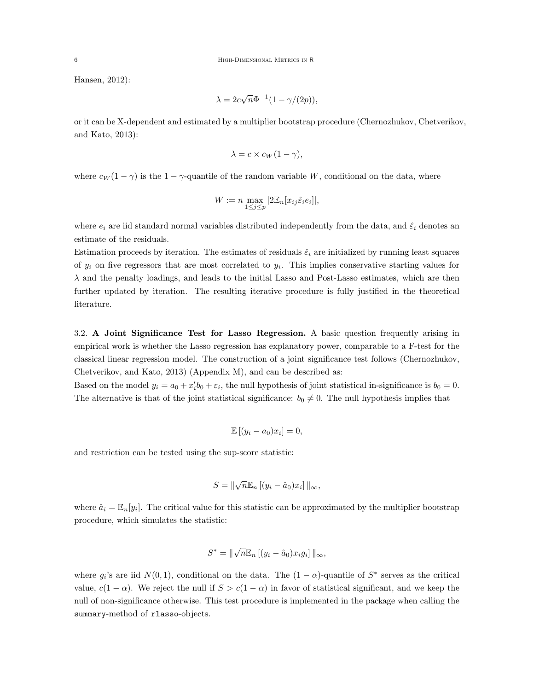Hansen, 2012):

$$
\lambda = 2c\sqrt{n}\Phi^{-1}(1 - \gamma/(2p)),
$$

or it can be X-dependent and estimated by a multiplier bootstrap procedure (Chernozhukov, Chetverikov, and Kato, 2013):

$$
\lambda = c \times c_W(1 - \gamma),
$$

where  $c_W(1-\gamma)$  is the  $1-\gamma$ -quantile of the random variable W, conditional on the data, where

$$
W := n \max_{1 \le j \le p} |2\mathbb{E}_n[x_{ij}\hat{\varepsilon}_i e_i]|,
$$

where  $e_i$  are iid standard normal variables distributed independently from the data, and  $\hat{\varepsilon}_i$  denotes an estimate of the residuals.

Estimation proceeds by iteration. The estimates of residuals  $\hat{\varepsilon}_i$  are initialized by running least squares of  $y_i$  on five regressors that are most correlated to  $y_i$ . This implies conservative starting values for  $\lambda$  and the penalty loadings, and leads to the initial Lasso and Post-Lasso estimates, which are then further updated by iteration. The resulting iterative procedure is fully justified in the theoretical literature.

3.2. A Joint Significance Test for Lasso Regression. A basic question frequently arising in empirical work is whether the Lasso regression has explanatory power, comparable to a F-test for the classical linear regression model. The construction of a joint significance test follows (Chernozhukov, Chetverikov, and Kato, 2013) (Appendix M), and can be described as:

Based on the model  $y_i = a_0 + x_i'b_0 + \varepsilon_i$ , the null hypothesis of joint statistical in-significance is  $b_0 = 0$ . The alternative is that of the joint statistical significance:  $b_0 \neq 0$ . The null hypothesis implies that

$$
\mathbb{E}[(y_i - a_0)x_i] = 0,
$$

and restriction can be tested using the sup-score statistic:

$$
S = \|\sqrt{n} \mathbb{E}_n \left[ (y_i - \hat{a}_0) x_i \right] \|_{\infty},
$$

where  $\hat{a}_i = \mathbb{E}_n[y_i]$ . The critical value for this statistic can be approximated by the multiplier bootstrap procedure, which simulates the statistic:

$$
S^* = \|\sqrt{n} \mathbb{E}_n \left[ (y_i - \hat{a}_0) x_i g_i \right] \|_{\infty},
$$

where  $g_i$ 's are iid  $N(0,1)$ , conditional on the data. The  $(1-\alpha)$ -quantile of  $S^*$  serves as the critical value,  $c(1 - \alpha)$ . We reject the null if  $S > c(1 - \alpha)$  in favor of statistical significant, and we keep the null of non-significance otherwise. This test procedure is implemented in the package when calling the summary-method of rlasso-objects.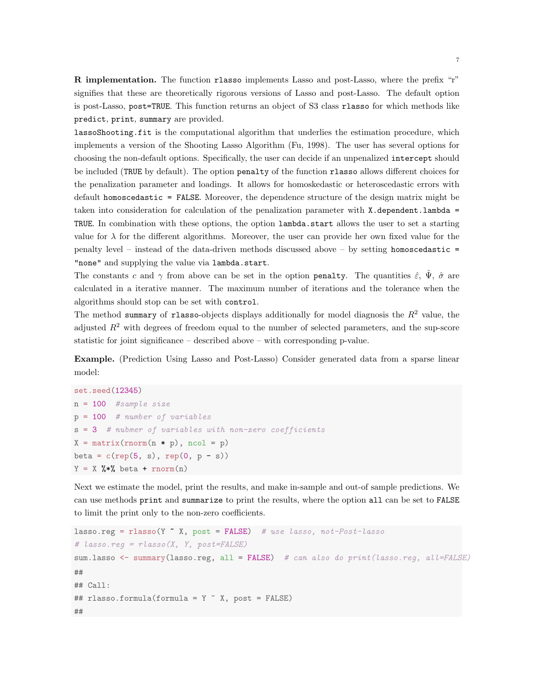R implementation. The function rlasso implements Lasso and post-Lasso, where the prefix "r" signifies that these are theoretically rigorous versions of Lasso and post-Lasso. The default option is post-Lasso, post=TRUE. This function returns an object of S3 class rlasso for which methods like predict, print, summary are provided.

lassoShooting.fit is the computational algorithm that underlies the estimation procedure, which implements a version of the Shooting Lasso Algorithm (Fu, 1998). The user has several options for choosing the non-default options. Specifically, the user can decide if an unpenalized intercept should be included (TRUE by default). The option penalty of the function rlasso allows different choices for the penalization parameter and loadings. It allows for homoskedastic or heteroscedastic errors with default homoscedastic = FALSE. Moreover, the dependence structure of the design matrix might be taken into consideration for calculation of the penalization parameter with  $X$ .dependent.lambda = TRUE. In combination with these options, the option lambda.start allows the user to set a starting value for  $\lambda$  for the different algorithms. Moreover, the user can provide her own fixed value for the penalty level – instead of the data-driven methods discussed above – by setting homoscedastic = "none" and supplying the value via lambda.start.

The constants c and  $\gamma$  from above can be set in the option penalty. The quantities  $\hat{\varepsilon}$ ,  $\Psi$ ,  $\hat{\sigma}$  are calculated in a iterative manner. The maximum number of iterations and the tolerance when the algorithms should stop can be set with control.

The method summary of rlasso-objects displays additionally for model diagnosis the  $R<sup>2</sup>$  value, the adjusted  $R<sup>2</sup>$  with degrees of freedom equal to the number of selected parameters, and the sup-score statistic for joint significance – described above – with corresponding p-value.

Example. (Prediction Using Lasso and Post-Lasso) Consider generated data from a sparse linear model:

```
set.seed(12345)
n = 100 #sample size
p = 100 # number of variables
s = 3 # nubmer of variables with non-zero coefficients
X = matrix(rnorm(n * p), ncol = p)beta = c(rep(5, s), rep(0, p - s))Y = X %*% beta + rnorm(n)
```
Next we estimate the model, print the results, and make in-sample and out-of sample predictions. We can use methods print and summarize to print the results, where the option all can be set to FALSE to limit the print only to the non-zero coefficients.

```
lasso.reg = rlasso(Y \times X, post = FALSE) # use lasso, not-Post-lasso
# lasso.read = rlasso(X, Y, post = FALSE)sum.lasso <- summary(lasso.reg, all = FALSE) # can also do print(lasso.reg, all=FALSE)
##
## Call:
## rlasso.formula(formula = Y ~ X, post = FALSE)
##
```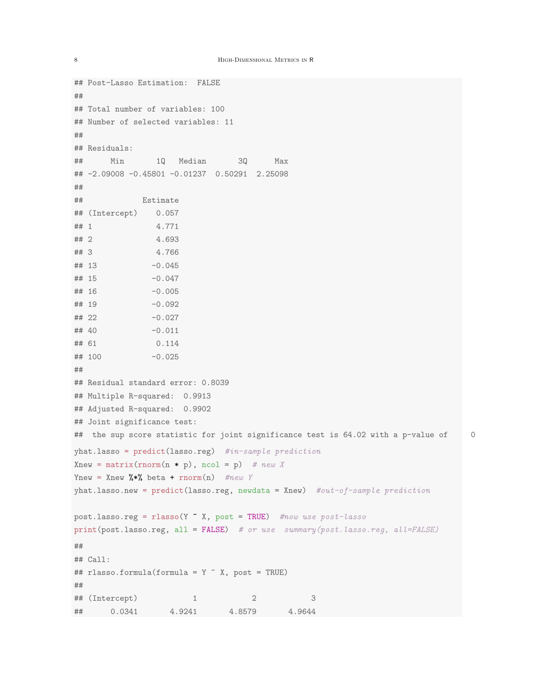```
## Post-Lasso Estimation: FALSE
##
## Total number of variables: 100
## Number of selected variables: 11
##
## Residuals:
## Min 1Q Median 3Q Max
## -2.09008 -0.45801 -0.01237 0.50291 2.25098
##
## Estimate
## (Intercept) 0.057
## 1 4.771
## 2 4.693
## 3 4.766
\# # 13 -0.045## 15 -0.047
## 16 -0.005
\# # 19 -0.092## 22 -0.027
\# # 40 -0.011## 61 0.114
## 100 -0.025
##
## Residual standard error: 0.8039
## Multiple R-squared: 0.9913
## Adjusted R-squared: 0.9902
## Joint significance test:
## the sup score statistic for joint significance test is 64.02 with a p-value of 0
yhat.lasso = predict(lasso.\nreg) #in-sample prediction
Xnew = matrix(rnorm(n * p), ncol = p) # new X
Ynew = Xnew \sqrt{k*} beta + rnorm(n) #new Y
yhat.lasso.new = predict(lasso.reg, newdata = Xnew) #out-of-sample predictionpost.\nlasso.reg = \nglasso(Y \nightharpoonup X, \npost = \nTRUE) #now use post\n -\nprint(post.lasso.reg, all = FALSE) # or use summary(post.lasso.reg, all=FALSE)
##
## Call:
## rlasso.formula(formula = Y \sim X, post = TRUE)
##
## (Intercept) 1 2 3
## 0.0341 4.9241 4.8579 4.9644
```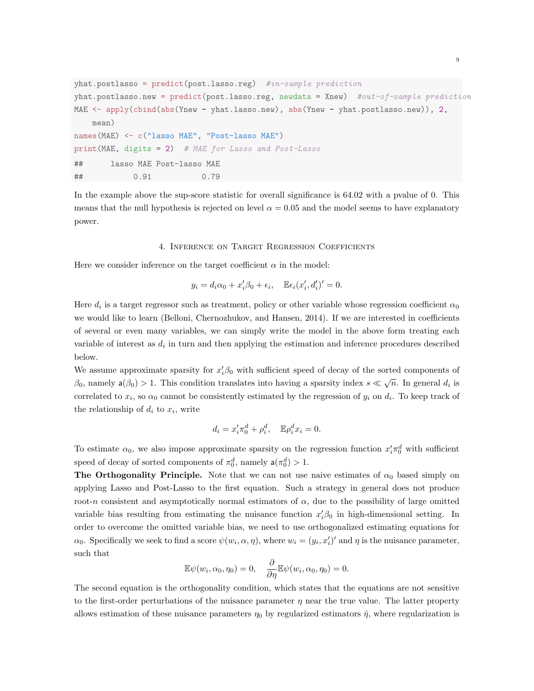```
yhat.postlasso = predict(post.lasso.reg) #in-sample prediction
yhat.postlasso.new = predict(post.lasso.reg, newdata = Xnew) #out-of-sample predictionMAE <- apply(cbind(abs(Ynew - yhat.lasso.new), abs(Ynew - yhat.postlasso.new)), 2,
   mean)
names(MAE) <- c("lasso MAE", "Post-lasso MAE")
print(MAE, digits = 2) # MAE for Lasso and Post-Lasso
## lasso MAE Post-lasso MAE
## 0.91 0.79
```
In the example above the sup-score statistic for overall significance is 64.02 with a pvalue of 0. This means that the null hypothesis is rejected on level  $\alpha = 0.05$  and the model seems to have explanatory power.

### 4. Inference on Target Regression Coefficients

Here we consider inference on the target coefficient  $\alpha$  in the model:

$$
y_i = d_i \alpha_0 + x'_i \beta_0 + \epsilon_i, \quad \mathbb{E} \epsilon_i (x'_i, d'_i)' = 0.
$$

Here  $d_i$  is a target regressor such as treatment, policy or other variable whose regression coefficient  $\alpha_0$ we would like to learn (Belloni, Chernozhukov, and Hansen, 2014). If we are interested in coefficients of several or even many variables, we can simply write the model in the above form treating each variable of interest as  $d_i$  in turn and then applying the estimation and inference procedures described below.

We assume approximate sparsity for  $x_i' \beta_0$  with sufficient speed of decay of the sorted components of  $\beta_0$ , namely  $a(\beta_0) > 1$ . This condition translates into having a sparsity index  $s \ll \sqrt{n}$ . In general  $d_i$  is correlated to  $x_i$ , so  $\alpha_0$  cannot be consistently estimated by the regression of  $y_i$  on  $d_i$ . To keep track of the relationship of  $d_i$  to  $x_i$ , write

$$
d_i = x_i' \pi_0^d + \rho_i^d, \quad \mathbb{E} \rho_i^d x_i = 0.
$$

To estimate  $\alpha_0$ , we also impose approximate sparsity on the regression function  $x'_i \pi_0^d$  with sufficient speed of decay of sorted components of  $\pi_0^d$ , namely  $a(\pi_0^d) > 1$ .

The Orthogonality Principle. Note that we can not use naive estimates of  $\alpha_0$  based simply on applying Lasso and Post-Lasso to the first equation. Such a strategy in general does not produce root-n consistent and asymptotically normal estimators of  $\alpha$ , due to the possibility of large omitted variable bias resulting from estimating the nuisance function  $x_i' \beta_0$  in high-dimensional setting. In order to overcome the omitted variable bias, we need to use orthogonalized estimating equations for  $\alpha_0$ . Specifically we seek to find a score  $\psi(w_i, \alpha, \eta)$ , where  $w_i = (y_i, x'_i)'$  and  $\eta$  is the nuisance parameter, such that

$$
\mathbb{E}\psi(w_i,\alpha_0,\eta_0)=0,\quad \frac{\partial}{\partial\eta}\mathbb{E}\psi(w_i,\alpha_0,\eta_0)=0.
$$

The second equation is the orthogonality condition, which states that the equations are not sensitive to the first-order perturbations of the nuisance parameter  $\eta$  near the true value. The latter property allows estimation of these nuisance parameters  $\eta_0$  by regularized estimators  $\hat{\eta}$ , where regularization is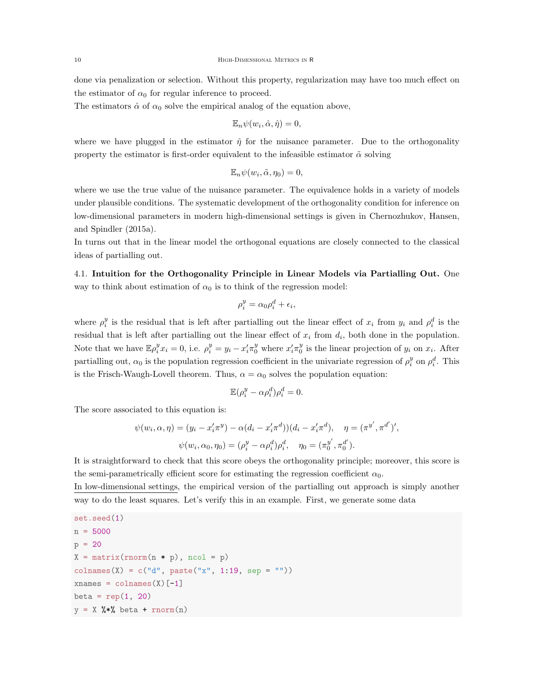done via penalization or selection. Without this property, regularization may have too much effect on the estimator of  $\alpha_0$  for regular inference to proceed.

The estimators  $\hat{\alpha}$  of  $\alpha_0$  solve the empirical analog of the equation above,

$$
\mathbb{E}_n \psi(w_i, \hat{\alpha}, \hat{\eta}) = 0,
$$

where we have plugged in the estimator  $\hat{\eta}$  for the nuisance parameter. Due to the orthogonality property the estimator is first-order equivalent to the infeasible estimator  $\tilde{\alpha}$  solving

$$
\mathbb{E}_n \psi(w_i, \tilde{\alpha}, \eta_0) = 0,
$$

where we use the true value of the nuisance parameter. The equivalence holds in a variety of models under plausible conditions. The systematic development of the orthogonality condition for inference on low-dimensional parameters in modern high-dimensional settings is given in Chernozhukov, Hansen, and Spindler (2015a).

In turns out that in the linear model the orthogonal equations are closely connected to the classical ideas of partialling out.

4.1. Intuition for the Orthogonality Principle in Linear Models via Partialling Out. One way to think about estimation of  $\alpha_0$  is to think of the regression model:

$$
\rho_i^y = \alpha_0 \rho_i^d + \epsilon_i,
$$

where  $\rho_i^y$  is the residual that is left after partialling out the linear effect of  $x_i$  from  $y_i$  and  $\rho_i^d$  is the residual that is left after partialling out the linear effect of  $x_i$  from  $d_i$ , both done in the population. Note that we have  $\mathbb{E}\rho_i^y x_i = 0$ , i.e.  $\rho_i^y = y_i - x_i' \pi_0^y$  where  $x_i' \pi_0^y$  is the linear projection of  $y_i$  on  $x_i$ . After partialling out,  $\alpha_0$  is the population regression coefficient in the univariate regression of  $\rho_i^y$  on  $\rho_i^d$ . This is the Frisch-Waugh-Lovell theorem. Thus,  $\alpha = \alpha_0$  solves the population equation:

$$
\mathbb{E}(\rho_i^y - \alpha \rho_i^d)\rho_i^d = 0.
$$

The score associated to this equation is:

$$
\psi(w_i, \alpha, \eta) = (y_i - x_i' \pi^y) - \alpha (d_i - x_i' \pi^d)) (d_i - x_i' \pi^d), \quad \eta = (\pi^{y'}, \pi^{d'})',
$$
  

$$
\psi(w_i, \alpha_0, \eta_0) = (\rho_i^y - \alpha \rho_i^d) \rho_i^d, \quad \eta_0 = (\pi_0^{y'}, \pi_0^{d'}).
$$

It is straightforward to check that this score obeys the orthogonality principle; moreover, this score is the semi-parametrically efficient score for estimating the regression coefficient  $\alpha_0$ .

In low-dimensional settings, the empirical version of the partialling out approach is simply another way to do the least squares. Let's verify this in an example. First, we generate some data

```
set.seed(1)
n = 5000p = 20X = matrix(rnorm(n * p), ncol = p)colnames(X) = c("d", paste("x", 1:19, sep = ""))
xnames = colnames(X)[-1]
beta = rep(1, 20)y = X %*% beta + rnorm(n)
```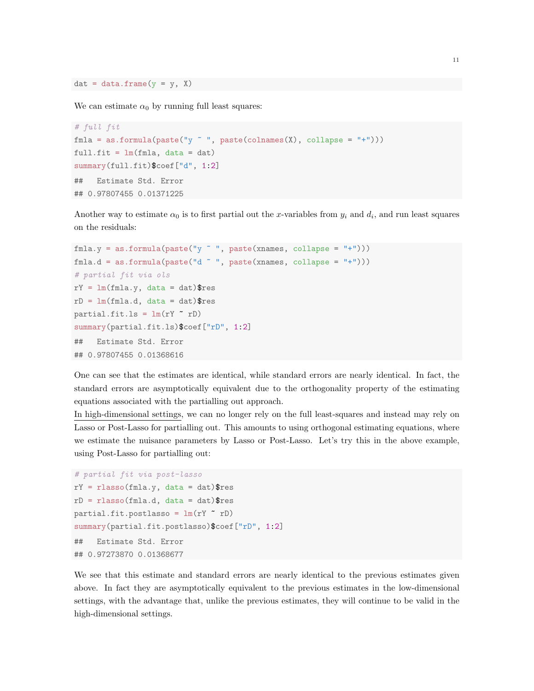$dat = data.frame(y = y, X)$ 

We can estimate  $\alpha_0$  by running full least squares:

```
# full fit
fmla = as.formata(paste("y "", paste(colnames(X), collapse = "+")))full.fit = lm(fmla, data = dat)summary(full.fit)$coef["d", 1:2]
## Estimate Std. Error
## 0.97807455 0.01371225
```
Another way to estimate  $\alpha_0$  is to first partial out the x-variables from  $y_i$  and  $d_i$ , and run least squares on the residuals:

```
fnla.y = as.format(a(paste('y " ", paste(xnames, collapse = "+"))))fmla.d = as.format(a^ " " , paste(xnames, collapse = "+"))# partial fit via ols
rY = Im(fmla.y, data = dat)$res
rD = Im(fmla.d, data = dat)$res
partial.fit.ls = lm(rY \sim rD)summary(partial.fit.ls)$coef["rD", 1:2]
## Estimate Std. Error
## 0.97807455 0.01368616
```
One can see that the estimates are identical, while standard errors are nearly identical. In fact, the standard errors are asymptotically equivalent due to the orthogonality property of the estimating equations associated with the partialling out approach.

In high-dimensional settings, we can no longer rely on the full least-squares and instead may rely on Lasso or Post-Lasso for partialling out. This amounts to using orthogonal estimating equations, where we estimate the nuisance parameters by Lasso or Post-Lasso. Let's try this in the above example, using Post-Lasso for partialling out:

```
# partial fit via post-lasso
rY = rlasso(fmla.y, data = dat)$res
rD = rlasso(fmla.d, data = dat)$respartial.fit.postlasso = lm(rY \sim rD)summary(partial.fit.postlasso)$coef["rD", 1:2]
## Estimate Std. Error
## 0.97273870 0.01368677
```
We see that this estimate and standard errors are nearly identical to the previous estimates given above. In fact they are asymptotically equivalent to the previous estimates in the low-dimensional settings, with the advantage that, unlike the previous estimates, they will continue to be valid in the high-dimensional settings.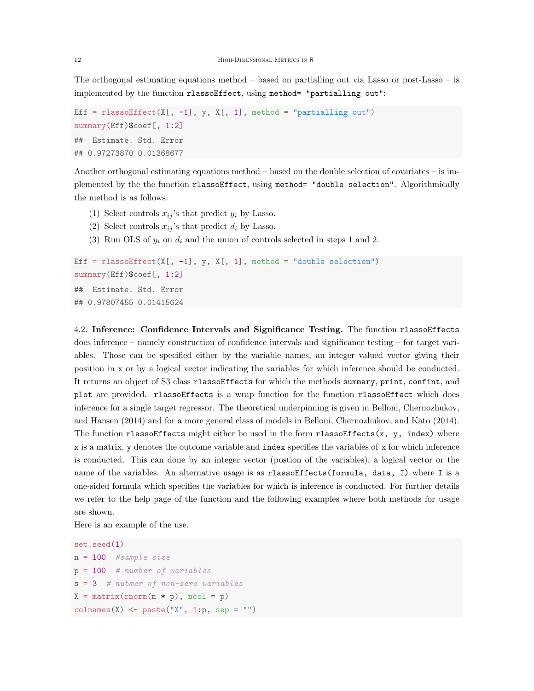The orthogonal estimating equations method – based on partialling out via Lasso or post-Lasso – is implemented by the function rlassoEffect, using method= "partialling out":

```
Eff = rlassoEffect(X[, -1], y, X[, 1], method = "partialling out")
summary(Eff)$coef[, 1:2]
## Estimate. Std. Error
## 0.97273870 0.01368677
```
Another orthogonal estimating equations method – based on the double selection of covariates – is implemented by the the function rlassoEffect, using method= "double selection". Algorithmically the method is as follows:

- (1) Select controls  $x_{ij}$ 's that predict  $y_i$  by Lasso.
- (2) Select controls  $x_{ij}$ 's that predict  $d_i$  by Lasso.
- (3) Run OLS of  $y_i$  on  $d_i$  and the union of controls selected in steps 1 and 2.

```
Eff = rlassoEffect(X[, -1], y, X[, 1], method = "double selection")
summary(Eff)$coef[, 1:2]
## Estimate. Std. Error
## 0.97807455 0.01415624
```
4.2. Inference: Confidence Intervals and Significance Testing. The function rlassoEffects does inference – namely construction of confidence intervals and significance testing – for target variables. Those can be specified either by the variable names, an integer valued vector giving their position in x or by a logical vector indicating the variables for which inference should be conducted. It returns an object of S3 class rlassoEffects for which the methods summary, print, confint, and plot are provided. rlassoEffects is a wrap function for the function rlassoEffect which does inference for a single target regressor. The theoretical underpinning is given in Belloni, Chernozhukov, and Hansen (2014) and for a more general class of models in Belloni, Chernozhukov, and Kato (2014). The function rlassoEffects might either be used in the form rlassoEffects $(x, y, index)$  where x is a matrix, y denotes the outcome variable and index specifies the variables of x for which inference is conducted. This can done by an integer vector (postion of the variables), a logical vector or the name of the variables. An alternative usage is as rlassoEffects(formula, data, I) where I is a one-sided formula which specifies the variables for which is inference is conducted. For further details we refer to the help page of the function and the following examples where both methods for usage are shown.

Here is an example of the use.

```
set.seed(1)
n = 100 #sample size
p = 100 # number of variables
s = 3 # nubmer of non-zero variables
X = matrix(rnorm(n * p), ncol = p)colnames(X) <- paste("X", 1:p, sep = "")
```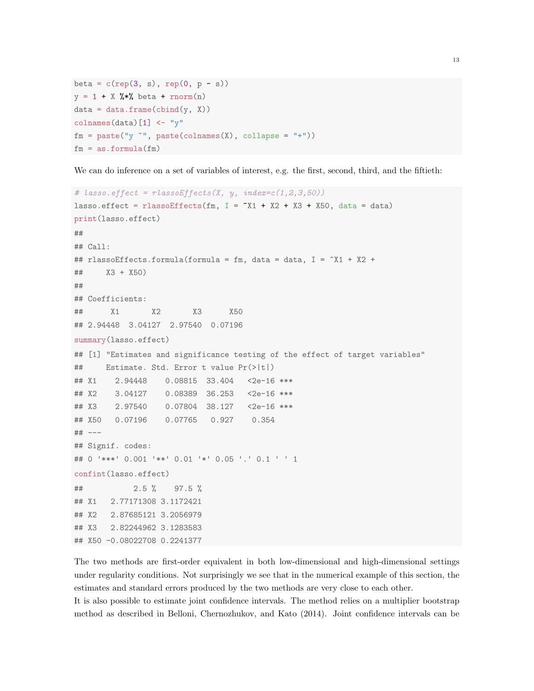```
beta = c(rep(3, s), rep(0, p - s))y = 1 + X %*% beta + rnorm(n)
data = data-frame(cbind(y, X))colnames(data)[1] <- "y"
fm = paste("y "", paste(colnames(X), collapse = "+"))fm = as.format(fm)
```
We can do inference on a set of variables of interest, e.g. the first, second, third, and the fiftieth:

```
# lasso.effect = rlassoEffects(X, y, index=c(1,2,3,50))
lasso.effect = rlassoEffects(fm, I = X1 + X2 + X3 + X50, data = data)
print(lasso.effect)
##
## Call:
## rlassoEffects.formula(formula = fm, data = data, I = ~X1 + X2 +
## X3 + X50)
##
## Coefficients:
## X1 X2 X3 X50
## 2.94448 3.04127 2.97540 0.07196
summary(lasso.effect)
## [1] "Estimates and significance testing of the effect of target variables"
## Estimate. Std. Error t value Pr(>|t|)
## X1 2.94448 0.08815 33.404 <2e-16 ***
## X2 3.04127 0.08389 36.253 <2e-16 ***
## X3 2.97540 0.07804 38.127 <2e-16 ***
## X50 0.07196 0.07765 0.927 0.354
## ---
## Signif. codes:
## 0 '***' 0.001 '**' 0.01 '*' 0.05 '.' 0.1 ' ' 1
confint(lasso.effect)
## 2.5 % 97.5 %
## X1 2.77171308 3.1172421
## X2 2.87685121 3.2056979
## X3 2.82244962 3.1283583
## X50 -0.08022708 0.2241377
```
The two methods are first-order equivalent in both low-dimensional and high-dimensional settings under regularity conditions. Not surprisingly we see that in the numerical example of this section, the estimates and standard errors produced by the two methods are very close to each other.

It is also possible to estimate joint confidence intervals. The method relies on a multiplier bootstrap method as described in Belloni, Chernozhukov, and Kato (2014). Joint confidence intervals can be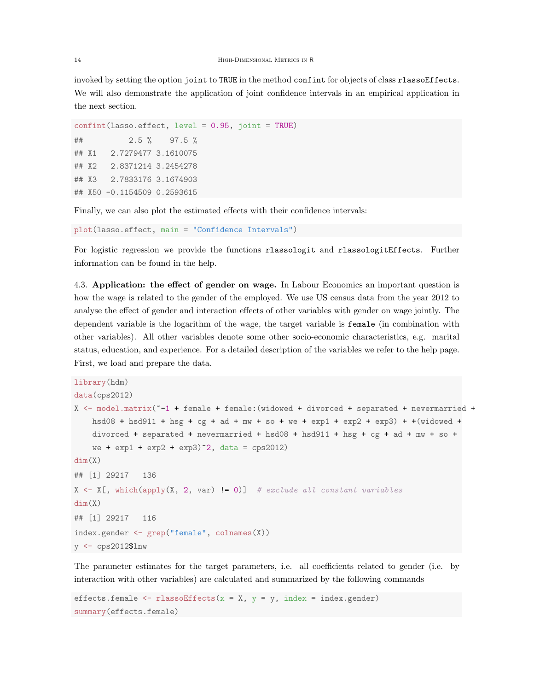invoked by setting the option joint to TRUE in the method confint for objects of class rlassoEffects. We will also demonstrate the application of joint confidence intervals in an empirical application in the next section.

confint(lasso.effect, level = 0.95, joint = TRUE) ## 2.5 % 97.5 % ## X1 2.7279477 3.1610075 ## X2 2.8371214 3.2454278 ## X3 2.7833176 3.1674903 ## X50 -0.1154509 0.2593615

Finally, we can also plot the estimated effects with their confidence intervals:

```
plot(lasso.effect, main = "Confidence Intervals")
```
For logistic regression we provide the functions rlassologit and rlassologitEffects. Further information can be found in the help.

4.3. Application: the effect of gender on wage. In Labour Economics an important question is how the wage is related to the gender of the employed. We use US census data from the year 2012 to analyse the effect of gender and interaction effects of other variables with gender on wage jointly. The dependent variable is the logarithm of the wage, the target variable is female (in combination with other variables). All other variables denote some other socio-economic characteristics, e.g. marital status, education, and experience. For a detailed description of the variables we refer to the help page. First, we load and prepare the data.

```
library(hdm)
data(cps2012)
X <- model.matrix(~-1 + female + female:(widowed + divorced + separated + nevermarried +
    hsd08 + hsd911 + hsg + cg + ad + mw + so + we + exp1 + exp2 + exp3) + +(widowed +
    divorced + separated + nevermarried + hsd08 + hsd911 + hsg + cg + ad + mw + so +
    we + exp1 + exp2 + exp3<sup>2</sup>, data = cps2012)
dim(X)
## [1] 29217 136
X \leftarrow X[, which(apply(X, 2, var) != 0)] # exclude all constant variables
dim(X)
## [1] 29217 116
index.gender <- grep("female", colnames(X))
y <- cps2012$lnw
```
The parameter estimates for the target parameters, i.e. all coefficients related to gender (i.e. by interaction with other variables) are calculated and summarized by the following commands

```
effects.female \leq rlassoEffects(x = X, y = y, index = index.gender)
summary(effects.female)
```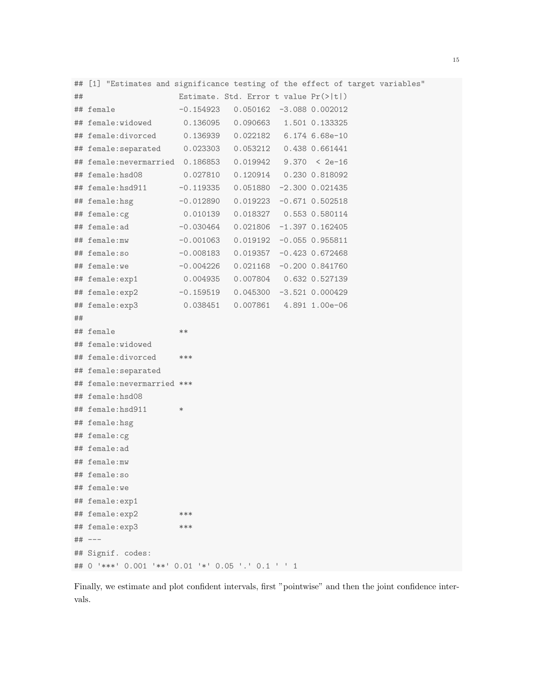| ## | [1] "Estimates and significance testing of the effect of target variables" |             |                                       |  |                     |  |
|----|----------------------------------------------------------------------------|-------------|---------------------------------------|--|---------------------|--|
| ## |                                                                            |             | Estimate. Std. Error t value Pr(> t ) |  |                     |  |
|    | ## female                                                                  | -0.154923   | $0.050162 -3.088 0.002012$            |  |                     |  |
|    | ## female:widowed                                                          | 0.136095    | 0.090663                              |  | 1.501 0.133325      |  |
|    | ## female:divorced                                                         | 0.136939    | 0.022182 6.174 6.68e-10               |  |                     |  |
|    | ## female:separated                                                        | 0.023303    | 0.053212  0.438  0.661441             |  |                     |  |
|    | ## female:nevermarried 0.186853                                            |             | $0.019942$ 9.370 < 2e-16              |  |                     |  |
|    | ## female:hsd08                                                            | 0.027810    | 0.120914  0.230 0.818092              |  |                     |  |
|    | ## female:hsd911                                                           | $-0.119335$ | 0.051880                              |  | $-2.300$ 0.021435   |  |
|    | ## female:hsg                                                              | $-0.012890$ | 0.019223                              |  | $-0.671$ $0.502518$ |  |
|    | ## female:cg                                                               | 0.010139    | $0.018327$ 0.553 0.580114             |  |                     |  |
|    | ## female:ad                                                               | $-0.030464$ | 0.021806                              |  | $-1.397$ 0.162405   |  |
|    | ## female:mw                                                               | $-0.001063$ | 0.019192                              |  | $-0.055$ 0.955811   |  |
|    | ## female:so                                                               | $-0.008183$ | 0.019357                              |  | $-0.423$ 0.672468   |  |
|    | ## female:we                                                               | $-0.004226$ | 0.021168                              |  | $-0.200$ $0.841760$ |  |
|    | ## female:exp1                                                             | 0.004935    | 0.007804  0.632  0.527139             |  |                     |  |
|    | ## female:exp2                                                             | $-0.159519$ | 0.045300                              |  | $-3.521$ 0.000429   |  |
|    | ## female:exp3                                                             | 0.038451    | $0.007861$ 4.891 1.00e-06             |  |                     |  |
| ## |                                                                            |             |                                       |  |                     |  |
|    | ## female                                                                  | $**$        |                                       |  |                     |  |
|    | ## female:widowed                                                          |             |                                       |  |                     |  |
|    | ## female:divorced                                                         | ***         |                                       |  |                     |  |
|    | ## female: separated                                                       |             |                                       |  |                     |  |
|    | ## female:nevermarried ***                                                 |             |                                       |  |                     |  |
|    | ## female:hsd08                                                            |             |                                       |  |                     |  |
|    | ## female:hsd911                                                           | $\ast$      |                                       |  |                     |  |
|    | ## female:hsg                                                              |             |                                       |  |                     |  |
|    | ## female:cg                                                               |             |                                       |  |                     |  |
|    | ## female:ad                                                               |             |                                       |  |                     |  |
|    | ## female:mw                                                               |             |                                       |  |                     |  |
|    | ## female:so                                                               |             |                                       |  |                     |  |
|    | ## female:we                                                               |             |                                       |  |                     |  |
|    | ## female:exp1                                                             |             |                                       |  |                     |  |
|    | ## female:exp2                                                             | ***         |                                       |  |                     |  |
|    | ## female:exp3                                                             | ***         |                                       |  |                     |  |
|    | ## ---                                                                     |             |                                       |  |                     |  |
|    | ## Signif. codes:                                                          |             |                                       |  |                     |  |
|    | ## 0 '***' 0.001 '**' 0.01 '*' 0.05 '.' 0.1 ' ' 1                          |             |                                       |  |                     |  |

Finally, we estimate and plot confident intervals, first "pointwise" and then the joint confidence intervals.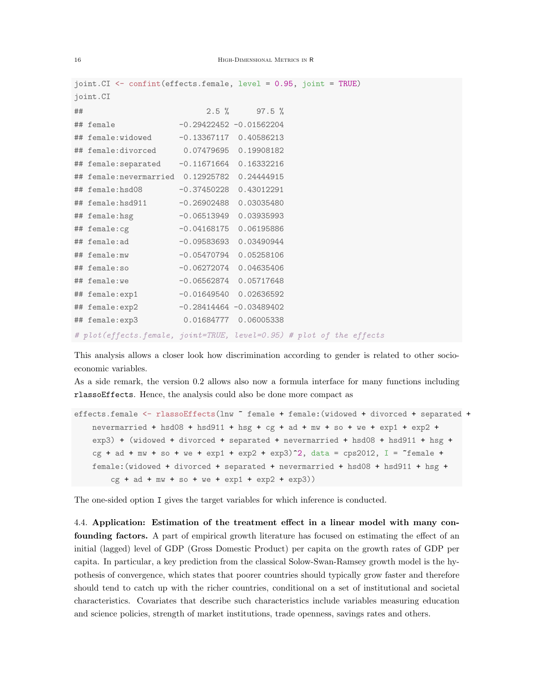|    | joint. CI <- confint (effects. female, level = 0.95, joint = TRUE)    |                            |                 |  |
|----|-----------------------------------------------------------------------|----------------------------|-----------------|--|
|    | joint.CI                                                              |                            |                 |  |
| ## |                                                                       |                            | $2.5 \%$ 97.5 % |  |
|    | ## female                                                             | $-0.29422452 -0.01562204$  |                 |  |
|    | ## female:widowed -0.13367117 0.40586213                              |                            |                 |  |
|    | ## female:divorced 0.07479695 0.19908182                              |                            |                 |  |
|    | ## female: separated -0.11671664 0.16332216                           |                            |                 |  |
|    | ## female:nevermarried 0.12925782 0.24444915                          |                            |                 |  |
|    | ## female:hsd08                                                       | $-0.37450228$ 0.43012291   |                 |  |
|    | ## female:hsd911                                                      | $-0.26902488$ 0.03035480   |                 |  |
|    |                                                                       |                            |                 |  |
|    |                                                                       |                            |                 |  |
|    |                                                                       |                            |                 |  |
|    | ## female:mw -0.05470794 0.05258106                                   |                            |                 |  |
|    |                                                                       |                            |                 |  |
|    |                                                                       |                            |                 |  |
|    | ## female:exp1                                                        | $-0.01649540$ 0.02636592   |                 |  |
|    | ## female:exp2                                                        | $-0.28414464 - 0.03489402$ |                 |  |
|    | ## female:exp3 0.01684777 0.06005338                                  |                            |                 |  |
|    | # plot (effects.female, joint=TRUE, level=0.95) # plot of the effects |                            |                 |  |

This analysis allows a closer look how discrimination according to gender is related to other socioeconomic variables.

As a side remark, the version 0.2 allows also now a formula interface for many functions including rlassoEffects. Hence, the analysis could also be done more compact as

```
effects.female <- rlassoEffects(lnw ~ female + female:(widowed + divorced + separated +
   nevermarried + hsd08 + hsd911 + hsg + cg + ad + mw + so + we + exp1 + exp2 +
    exp3) + (widowed + divorced + separated + nevermarried + hsd08 + hsd911 + hsg +
    cg + ad + mw + so + we + exp1 + exp2 + exp3)^2, data = cps2012, I = ^*female +
    female:(widowed + divorced + separated + nevermarried + hsd08 + hsd911 + hsg +
       cg + ad + mw + so + we + exp1 + exp2 + exp3))
```
The one-sided option I gives the target variables for which inference is conducted.

4.4. Application: Estimation of the treatment effect in a linear model with many confounding factors. A part of empirical growth literature has focused on estimating the effect of an initial (lagged) level of GDP (Gross Domestic Product) per capita on the growth rates of GDP per capita. In particular, a key prediction from the classical Solow-Swan-Ramsey growth model is the hypothesis of convergence, which states that poorer countries should typically grow faster and therefore should tend to catch up with the richer countries, conditional on a set of institutional and societal characteristics. Covariates that describe such characteristics include variables measuring education and science policies, strength of market institutions, trade openness, savings rates and others.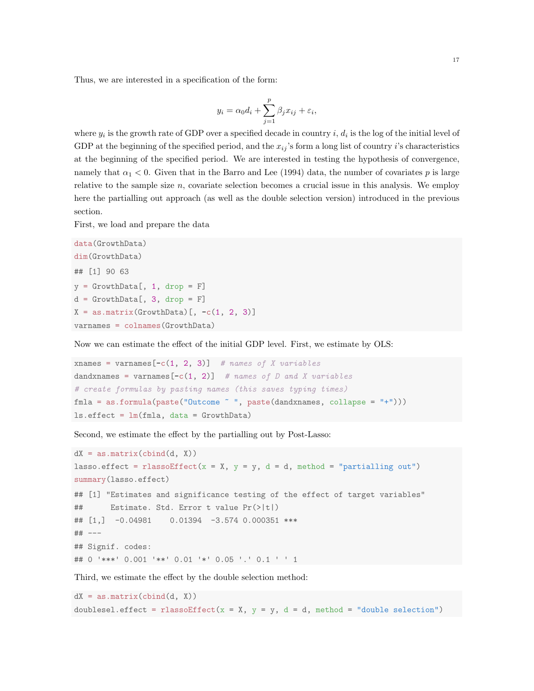Thus, we are interested in a specification of the form:

$$
y_i = \alpha_0 d_i + \sum_{j=1}^p \beta_j x_{ij} + \varepsilon_i,
$$

where  $y_i$  is the growth rate of GDP over a specified decade in country i,  $d_i$  is the log of the initial level of GDP at the beginning of the specified period, and the  $x_{ij}$ 's form a long list of country i's characteristics at the beginning of the specified period. We are interested in testing the hypothesis of convergence, namely that  $\alpha_1 < 0$ . Given that in the Barro and Lee (1994) data, the number of covariates p is large relative to the sample size  $n$ , covariate selection becomes a crucial issue in this analysis. We employ here the partialling out approach (as well as the double selection version) introduced in the previous section.

First, we load and prepare the data

```
data(GrowthData)
dim(GrowthData)
## [1] 90 63
y = GrowthData[, 1, drop = F]d = GrowthData[, 3, drop = F]X = as.matrix(GrowthData)[, -c(1, 2, 3)]varnames = colnames(GrowthData)
```
Now we can estimate the effect of the initial GDP level. First, we estimate by OLS:

```
xnames = varnames[-c(1, 2, 3)] # names of X variables
dandxnames = varnames[-c(1, 2)] # names of D and X variables
# create formulas by pasting names (this saves typing times)
fmla = as.formula(paste("Outcome ~ ", paste(dandxnames, collapse = "+")))
ls.effect = lm(fmla, data = GrowthData)
```
Second, we estimate the effect by the partialling out by Post-Lasso:

```
dX = as.matrix(cbind(d, X))lasso.effect = rlassoEffect(x = X, y = y, d = d, method = "partialling out")
summary(lasso.effect)
## [1] "Estimates and significance testing of the effect of target variables"
## Estimate. Std. Error t value Pr(>|t|)
## [1,] -0.04981 0.01394 -3.574 0.000351 ***
## ---
## Signif. codes:
## 0 '***' 0.001 '**' 0.01 '*' 0.05 '.' 0.1 ' ' 1
```
Third, we estimate the effect by the double selection method:

```
dX = as.matrix(cbind(d, X))doublesel.effect = rlassoEffect(x = X, y = y, d = d, method = "double selection")
```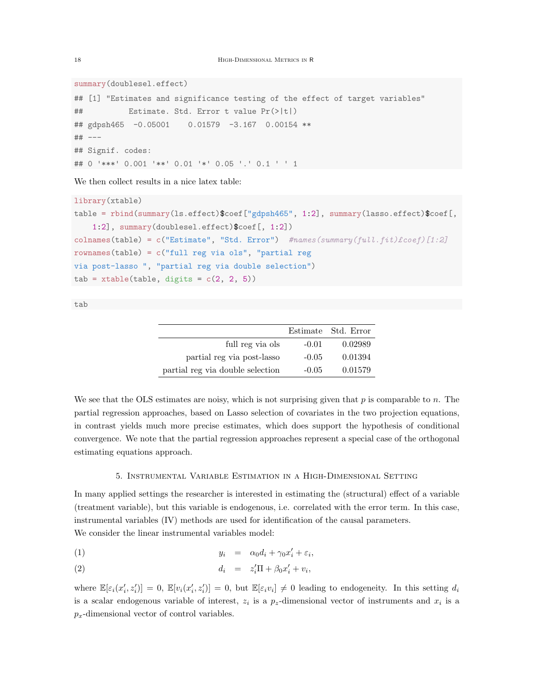summary(doublesel.effect)

```
## [1] "Estimates and significance testing of the effect of target variables"
## Estimate. Std. Error t value Pr(>|t|)
## gdpsh465 -0.05001 0.01579 -3.167 0.00154 **
## ---
## Signif. codes:
## 0 '***' 0.001 '**' 0.01 '*' 0.05 '.' 0.1 ' ' 1
```
We then collect results in a nice latex table:

```
library(xtable)
table = rbind(summary(ls.effect)$coef["gdpsh465", 1:2], summary(lasso.effect)$coef[,
    1:2], summary(doublesel.effect)$coef[, 1:2])
colnames(table) = c("Estimate", "Std. Error") #names(summary(full.fit)£coef)[1:2]
rownames(table) = c("full reg via ols", "partial regvia post-lasso ", "partial reg via double selection")
tab = xtable(table, digits = c(2, 2, 5))
```
tab

|                                  |         | Estimate Std. Error |
|----------------------------------|---------|---------------------|
| full reg via ols                 | $-0.01$ | 0.02989             |
| partial reg via post-lasso       | $-0.05$ | 0.01394             |
| partial reg via double selection | $-0.05$ | 0.01579             |

We see that the OLS estimates are noisy, which is not surprising given that  $p$  is comparable to  $n$ . The partial regression approaches, based on Lasso selection of covariates in the two projection equations, in contrast yields much more precise estimates, which does support the hypothesis of conditional convergence. We note that the partial regression approaches represent a special case of the orthogonal estimating equations approach.

# 5. Instrumental Variable Estimation in a High-Dimensional Setting

In many applied settings the researcher is interested in estimating the (structural) effect of a variable (treatment variable), but this variable is endogenous, i.e. correlated with the error term. In this case, instrumental variables (IV) methods are used for identification of the causal parameters. We consider the linear instrumental variables model:

$$
(1) \t\t y_i = \alpha_0 d_i + \gamma_0 x'_i + \varepsilon_i,
$$

$$
(2) \t\t d_i = z_i'\Pi + \beta_0 x_i' + v_i,
$$

where  $\mathbb{E}[\varepsilon_i(x_i', z_i')] = 0$ ,  $\mathbb{E}[v_i(x_i', z_i')] = 0$ , but  $\mathbb{E}[\varepsilon_i v_i] \neq 0$  leading to endogeneity. In this setting  $d_i$ is a scalar endogenous variable of interest,  $z_i$  is a  $p_z$ -dimensional vector of instruments and  $x_i$  is a  $p_x$ -dimensional vector of control variables.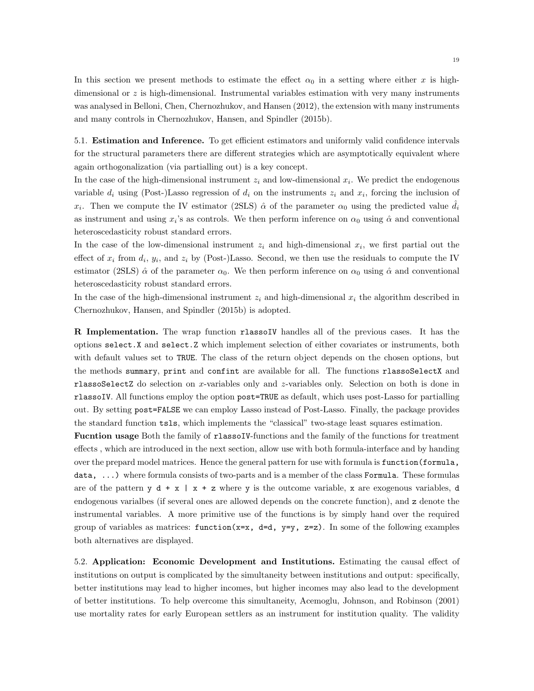In this section we present methods to estimate the effect  $\alpha_0$  in a setting where either x is highdimensional or z is high-dimensional. Instrumental variables estimation with very many instruments was analysed in Belloni, Chen, Chernozhukov, and Hansen (2012), the extension with many instruments and many controls in Chernozhukov, Hansen, and Spindler (2015b).

5.1. Estimation and Inference. To get efficient estimators and uniformly valid confidence intervals for the structural parameters there are different strategies which are asymptotically equivalent where again orthogonalization (via partialling out) is a key concept.

In the case of the high-dimensional instrument  $z_i$  and low-dimensional  $x_i$ . We predict the endogenous variable  $d_i$  using (Post-)Lasso regression of  $d_i$  on the instruments  $z_i$  and  $x_i$ , forcing the inclusion of  $x_i$ . Then we compute the IV estimator (2SLS)  $\hat{\alpha}$  of the parameter  $\alpha_0$  using the predicted value  $\hat{d}_i$ as instrument and using  $x_i$ 's as controls. We then perform inference on  $\alpha_0$  using  $\hat{\alpha}$  and conventional heteroscedasticity robust standard errors.

In the case of the low-dimensional instrument  $z_i$  and high-dimensional  $x_i$ , we first partial out the effect of  $x_i$  from  $d_i$ ,  $y_i$ , and  $z_i$  by (Post-)Lasso. Second, we then use the residuals to compute the IV estimator (2SLS)  $\hat{\alpha}$  of the parameter  $\alpha_0$ . We then perform inference on  $\alpha_0$  using  $\hat{\alpha}$  and conventional heteroscedasticity robust standard errors.

In the case of the high-dimensional instrument  $z_i$  and high-dimensional  $x_i$  the algorithm described in Chernozhukov, Hansen, and Spindler (2015b) is adopted.

R Implementation. The wrap function rlassoIV handles all of the previous cases. It has the options select.X and select.Z which implement selection of either covariates or instruments, both with default values set to TRUE. The class of the return object depends on the chosen options, but the methods summary, print and confint are available for all. The functions rlassoSelectX and rlassoSelectZ do selection on x-variables only and z-variables only. Selection on both is done in rlassoIV. All functions employ the option post=TRUE as default, which uses post-Lasso for partialling out. By setting post=FALSE we can employ Lasso instead of Post-Lasso. Finally, the package provides the standard function tsls, which implements the "classical" two-stage least squares estimation.

Fucntion usage Both the family of rlassoIV-functions and the family of the functions for treatment effects , which are introduced in the next section, allow use with both formula-interface and by handing over the prepard model matrices. Hence the general pattern for use with formula is function(formula, data, ...) where formula consists of two-parts and is a member of the class Formula. These formulas are of the pattern  $y d + x | x + z$  where y is the outcome variable, x are exogenous variables, d endogenous varialbes (if several ones are allowed depends on the concrete function), and z denote the instrumental variables. A more primitive use of the functions is by simply hand over the required group of variables as matrices:  $function(x=x, d=d, y=y, z=z)$ . In some of the following examples both alternatives are displayed.

5.2. Application: Economic Development and Institutions. Estimating the causal effect of institutions on output is complicated by the simultaneity between institutions and output: specifically, better institutions may lead to higher incomes, but higher incomes may also lead to the development of better institutions. To help overcome this simultaneity, Acemoglu, Johnson, and Robinson (2001) use mortality rates for early European settlers as an instrument for institution quality. The validity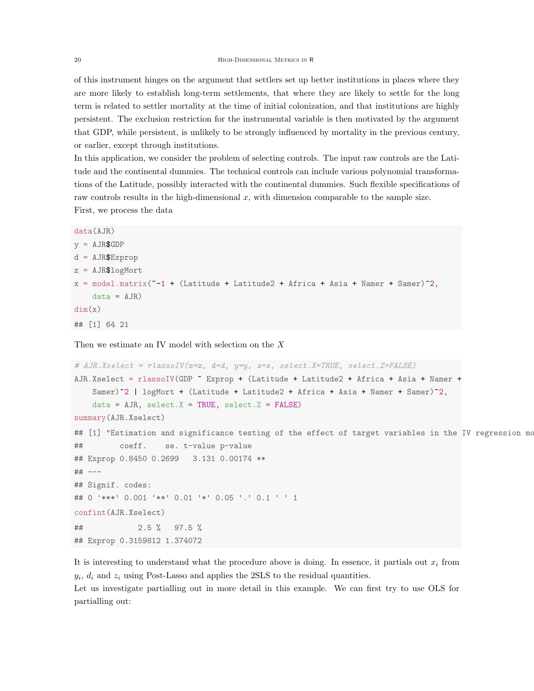of this instrument hinges on the argument that settlers set up better institutions in places where they are more likely to establish long-term settlements, that where they are likely to settle for the long term is related to settler mortality at the time of initial colonization, and that institutions are highly persistent. The exclusion restriction for the instrumental variable is then motivated by the argument that GDP, while persistent, is unlikely to be strongly influenced by mortality in the previous century, or earlier, except through institutions.

In this application, we consider the problem of selecting controls. The input raw controls are the Latitude and the continental dummies. The technical controls can include various polynomial transformations of the Latitude, possibly interacted with the continental dummies. Such flexible specifications of raw controls results in the high-dimensional  $x$ , with dimension comparable to the sample size. First, we process the data

```
data(AJR)
```

```
y = AJR$GDPd = AJR$Exprop
z = AJR$logMort
x = model_matrix("-1 + (Latitude + Latitude + Africa + Aisia + Name + Same)^2)data = AJR)dim(x)## [1] 64 21
```
Then we estimate an IV model with selection on the  $X$ 

```
# AJR.Xselect = rlassoIV(x=x, d=d, y=y, z=z, select.X=TRUE, select.Z=FALSE)AJR.Xselect = rlassoIV(GDP ~ Exprop + (Latitude + Latitude2 + Africa + Asia + Namer +
   Samer)<sup>^2</sup> | logMort + (Latitude + Latitude2 + Africa + Asia + Namer + Samer)<sup>^2</sup>,
    data = AJR, select.X = TRUE, select.Z = FALSE)summary(AJR.Xselect)
## [1] "Estimation and significance testing of the effect of target variables in the IV regression mo
## coeff. se. t-value p-value
## Exprop 0.8450 0.2699 3.131 0.00174 **
## ---
## Signif. codes:
## 0 '***' 0.001 '**' 0.01 '*' 0.05 '.' 0.1 ' ' 1
confint(AJR.Xselect)
## 2.5 % 97.5 %
## Exprop 0.3159812 1.374072
```
It is interesting to understand what the procedure above is doing. In essence, it partials out  $x_i$  from  $y_i$ ,  $d_i$  and  $z_i$  using Post-Lasso and applies the 2SLS to the residual quantities.

Let us investigate partialling out in more detail in this example. We can first try to use OLS for partialling out: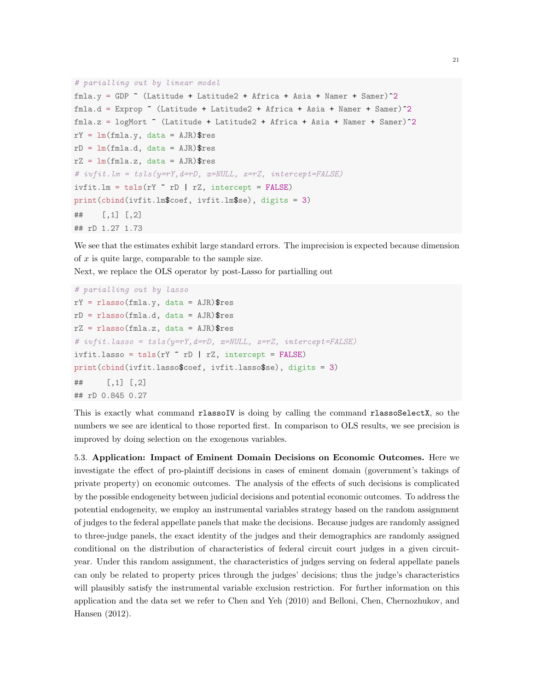```
# parialling out by linear model
fmla.y = GDP \tilde{ } (Latitude + Latitude2 + Africa + Asia + Namer + Samer)\tilde{ }2
fmla.d = Exprop (Latitude + Latitude + Africa + Asia + Name + Same)<sup>2</sup>
fmla.z = logMort ~ (Latitude + Latitude2 + Africa + Asia + Namer + Samer)^2
rY = Im(fmla.y, data = AJR)$res
rD = Im(fmla.d, data = AJR)$res
rZ = Im(fmla.z, data = AJR)$res
# ivfit.Lm = tsls(v=ry, d=rb, x=NULL, z=rz, intercept=FALSE)ivfit.lm = tsls(rY \text{ m} | rZ, intercept = FALSE)print(cbind(ivfit.lm$coef, ivfit.lm$se), digits = 3)
## [,1] [,2]
## rD 1.27 1.73
```
We see that the estimates exhibit large standard errors. The imprecision is expected because dimension of  $x$  is quite large, comparable to the sample size.

Next, we replace the OLS operator by post-Lasso for partialling out

```
# parialling out by lasso
rY = rlasso(fmla.y, data = AJR)$res
rD = rlasso(fmla.d, data = AJR)$resrZ = rlasso(fmla.z, data = AJR)$res
# ivfit.lasso = tsls(y=rY,d=rD, x=NULL, z=rZ, intercept=FALSE)
ivfit.lasso = tsls(rY \text{ rD} | rZ, intercept = FALSE)
print(cbind(ivfit.lasso$coef, ivfit.lasso$se), digits = 3)
## [,1] [,2]
## rD 0.845 0.27
```
This is exactly what command rlassoIV is doing by calling the command rlassoSelectX, so the numbers we see are identical to those reported first. In comparison to OLS results, we see precision is improved by doing selection on the exogenous variables.

5.3. Application: Impact of Eminent Domain Decisions on Economic Outcomes. Here we investigate the effect of pro-plaintiff decisions in cases of eminent domain (government's takings of private property) on economic outcomes. The analysis of the effects of such decisions is complicated by the possible endogeneity between judicial decisions and potential economic outcomes. To address the potential endogeneity, we employ an instrumental variables strategy based on the random assignment of judges to the federal appellate panels that make the decisions. Because judges are randomly assigned to three-judge panels, the exact identity of the judges and their demographics are randomly assigned conditional on the distribution of characteristics of federal circuit court judges in a given circuityear. Under this random assignment, the characteristics of judges serving on federal appellate panels can only be related to property prices through the judges' decisions; thus the judge's characteristics will plausibly satisfy the instrumental variable exclusion restriction. For further information on this application and the data set we refer to Chen and Yeh (2010) and Belloni, Chen, Chernozhukov, and Hansen (2012).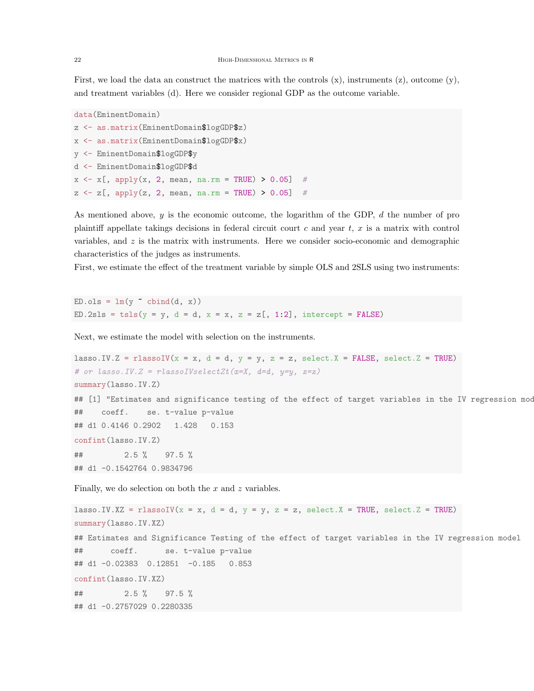First, we load the data an construct the matrices with the controls  $(x)$ , instruments  $(z)$ , outcome  $(y)$ , and treatment variables (d). Here we consider regional GDP as the outcome variable.

```
data(EminentDomain)
z <- as.matrix(EminentDomain$logGDP$z)
x <- as.matrix(EminentDomain$logGDP$x)
y <- EminentDomain$logGDP$y
d <- EminentDomain$logGDP$d
x \leq x [, apply(x, 2, mean, na.rm = TRUE) > 0.05] #
z \le z [, apply(z, 2, mean, na.rm = TRUE) > 0.05]
```
As mentioned above, y is the economic outcome, the logarithm of the GDP, d the number of pro plaintiff appellate takings decisions in federal circuit court c and year t, x is a matrix with control variables, and  $z$  is the matrix with instruments. Here we consider socio-economic and demographic characteristics of the judges as instruments.

First, we estimate the effect of the treatment variable by simple OLS and 2SLS using two instruments:

 $ED.ols = lm(y \text{ cbind}(d, x))$ ED.2sls = tsls( $y = y$ ,  $d = d$ ,  $x = x$ ,  $z = z$ [, 1:2], intercept = FALSE)

Next, we estimate the model with selection on the instruments.

```
lasso.IV.Z = rlassoIV(x = x, d = d, y = y, z = z, select.X = FALSE, select.Z = TRUE)
# or lasso. IV. Z = rlassoIVselectZt(x=X, d=d, y=y, z=z)
summary(lasso.IV.Z)
## [1] "Estimates and significance testing of the effect of target variables in the IV regression mod
## coeff. se. t-value p-value
## d1 0.4146 0.2902 1.428 0.153
confint(lasso.IV.Z)
## 2.5 % 97.5 %
## d1 -0.1542764 0.9834796
```
Finally, we do selection on both the  $x$  and  $z$  variables.

```
lasso.IV.XZ = rlassoIV(x = x, d = d, y = y, z = z, select.X = TRUE, select.Z = TRUE)
summary(lasso.IV.XZ)
## Estimates and Significance Testing of the effect of target variables in the IV regression model
## coeff. se. t-value p-value
## d1 -0.02383 0.12851 -0.185 0.853
confint(lasso.IV.XZ)
## 2.5 % 97.5 %
## d1 -0.2757029 0.2280335
```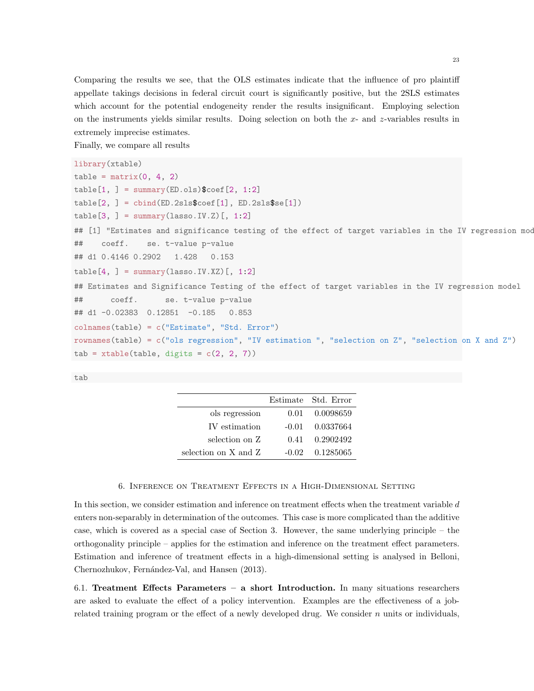Comparing the results we see, that the OLS estimates indicate that the influence of pro plaintiff appellate takings decisions in federal circuit court is significantly positive, but the 2SLS estimates which account for the potential endogeneity render the results insignificant. Employing selection on the instruments yields similar results. Doing selection on both the  $x$ - and  $z$ -variables results in extremely imprecise estimates.

Finally, we compare all results

```
library(xtable)
table = matrix(0, 4, 2)table[1, ] = summary(ED.ols)$coef[2, 1:2]table[2, ] = child(ED.2sls\coef[1], ED.2sls\se[1])table[3, ] = summary(lasso.IV.Z)[, 1:2]## [1] "Estimates and significance testing of the effect of target variables in the IV regression mod
## coeff. se. t-value p-value
## d1 0.4146 0.2902 1.428 0.153
table[4, ] = summary(lasso.IV.XZ) [, 1:2]## Estimates and Significance Testing of the effect of target variables in the IV regression model
## coeff. se. t-value p-value
## d1 -0.02383 0.12851 -0.185 0.853
colnames(table) = c("Estimate", "Std. Error")
rownames(table) = c("ols regression", "IV estimation ", "selection on Z", "selection on X and Z")
tab = xtable(table, digits = c(2, 2, 7))
```
tab

|                      |       | Estimate Std. Error |
|----------------------|-------|---------------------|
| ols regression       |       | 0.01 0.0098659      |
| IV estimation        |       | $-0.01$ $0.0337664$ |
| selection on Z       | 0.41  | 0.2902492           |
| selection on X and Z | -0.02 | 0.1285065           |

## 6. Inference on Treatment Effects in a High-Dimensional Setting

In this section, we consider estimation and inference on treatment effects when the treatment variable d enters non-separably in determination of the outcomes. This case is more complicated than the additive case, which is covered as a special case of Section 3. However, the same underlying principle – the orthogonality principle – applies for the estimation and inference on the treatment effect parameters. Estimation and inference of treatment effects in a high-dimensional setting is analysed in Belloni, Chernozhukov, Fernández-Val, and Hansen (2013).

6.1. Treatment Effects Parameters – a short Introduction. In many situations researchers are asked to evaluate the effect of a policy intervention. Examples are the effectiveness of a jobrelated training program or the effect of a newly developed drug. We consider  $n$  units or individuals,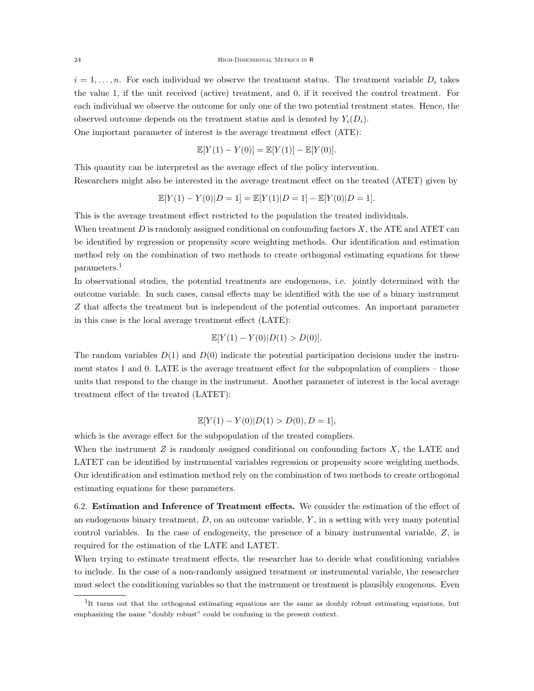$i = 1, \ldots, n$ . For each individual we observe the treatment status. The treatment variable  $D_i$  takes the value 1, if the unit received (active) treatment, and 0, if it received the control treatment. For each individual we observe the outcome for only one of the two potential treatment states. Hence, the observed outcome depends on the treatment status and is denoted by  $Y_i(D_i)$ .

One important parameter of interest is the average treatment effect (ATE):

$$
\mathbb{E}[Y(1) - Y(0)] = \mathbb{E}[Y(1)] - \mathbb{E}[Y(0)].
$$

This quantity can be interpreted as the average effect of the policy intervention. Researchers might also be interested in the average treatment effect on the treated (ATET) given by

$$
\mathbb{E}[Y(1) - Y(0)|D = 1] = \mathbb{E}[Y(1)|D = 1] - \mathbb{E}[Y(0)|D = 1].
$$

This is the average treatment effect restricted to the population the treated individuals.

When treatment  $D$  is randomly assigned conditional on confounding factors  $X$ , the ATE and ATET can be identified by regression or propensity score weighting methods. Our identification and estimation method rely on the combination of two methods to create orthogonal estimating equations for these parameters.<sup>1</sup>

In observational studies, the potential treatments are endogenous, i.e. jointly determined with the outcome variable. In such cases, causal effects may be identified with the use of a binary instrument Z that affects the treatment but is independent of the potential outcomes. An important parameter in this case is the local average treatment effect (LATE):

$$
\mathbb{E}[Y(1) - Y(0)|D(1) > D(0)].
$$

The random variables  $D(1)$  and  $D(0)$  indicate the potential participation decisions under the instrument states 1 and 0. LATE is the average treatment effect for the subpopulation of compliers – those units that respond to the change in the instrument. Another parameter of interest is the local average treatment effect of the treated (LATET):

$$
\mathbb{E}[Y(1) - Y(0)|D(1) > D(0), D = 1],
$$

which is the average effect for the subpopulation of the treated compliers.

When the instrument  $Z$  is randomly assigned conditional on confounding factors  $X$ , the LATE and LATET can be identified by instrumental variables regression or propensity score weighting methods. Our identification and estimation method rely on the combination of two methods to create orthogonal estimating equations for these parameters.

6.2. Estimation and Inference of Treatment effects. We consider the estimation of the effect of an endogenous binary treatment,  $D$ , on an outcome variable,  $Y$ , in a setting with very many potential control variables. In the case of endogeneity, the presence of a binary instrumental variable,  $Z$ , is required for the estimation of the LATE and LATET.

When trying to estimate treatment effects, the researcher has to decide what conditioning variables to include. In the case of a non-randomly assigned treatment or instrumental variable, the researcher must select the conditioning variables so that the instrument or treatment is plausibly exogenous. Even

<sup>&</sup>lt;sup>1</sup>It turns out that the orthogonal estimating equations are the same as doubly robust estimating equations, but emphasizing the name "doubly robust" could be confusing in the present context.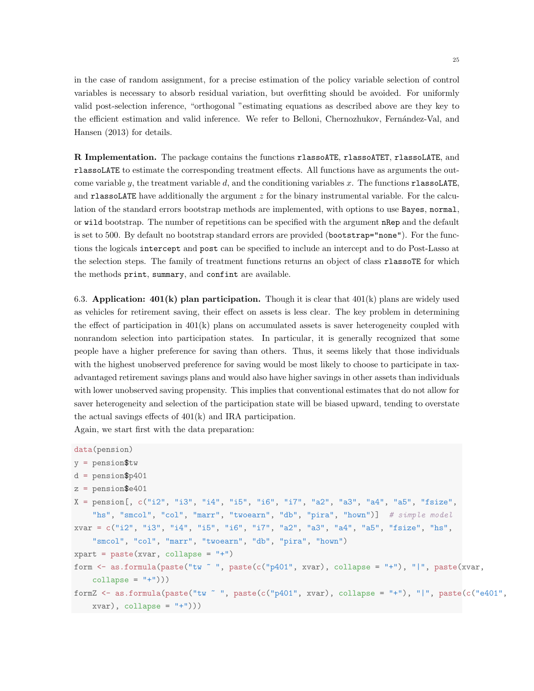in the case of random assignment, for a precise estimation of the policy variable selection of control variables is necessary to absorb residual variation, but overfitting should be avoided. For uniformly valid post-selection inference, "orthogonal "estimating equations as described above are they key to the efficient estimation and valid inference. We refer to Belloni, Chernozhukov, Fernández-Val, and Hansen (2013) for details.

R Implementation. The package contains the functions rlassoATE, rlassoATET, rlassoLATE, and rlassoLATE to estimate the corresponding treatment effects. All functions have as arguments the outcome variable y, the treatment variable  $d$ , and the conditioning variables x. The functions rlassoLATE, and rlassoLATE have additionally the argument  $z$  for the binary instrumental variable. For the calculation of the standard errors bootstrap methods are implemented, with options to use Bayes, normal, or wild bootstrap. The number of repetitions can be specified with the argument nRep and the default is set to 500. By default no bootstrap standard errors are provided (bootstrap="none"). For the functions the logicals intercept and post can be specified to include an intercept and to do Post-Lasso at the selection steps. The family of treatment functions returns an object of class rlassoTE for which the methods print, summary, and confint are available.

6.3. Application:  $401(k)$  plan participation. Though it is clear that  $401(k)$  plans are widely used as vehicles for retirement saving, their effect on assets is less clear. The key problem in determining the effect of participation in  $401(k)$  plans on accumulated assets is saver heterogeneity coupled with nonrandom selection into participation states. In particular, it is generally recognized that some people have a higher preference for saving than others. Thus, it seems likely that those individuals with the highest unobserved preference for saving would be most likely to choose to participate in taxadvantaged retirement savings plans and would also have higher savings in other assets than individuals with lower unobserved saving propensity. This implies that conventional estimates that do not allow for saver heterogeneity and selection of the participation state will be biased upward, tending to overstate the actual savings effects of 401(k) and IRA participation.

Again, we start first with the data preparation:

```
data(pension)
y = pension$tw
d = pension$p401
z = pension6401X = pension[, c("i2", "i3", "i4", "i5", "i6", "i7", "a2", "a3", "a4", "a5", "fsize",
    "hs", "smcol", "col", "marr", "twoearn", "db", "pira", "hown")] # simple model
xvar = c("i2", "i3", "i4", "i5", "i6", "i7", "a2", "a3", "a4", "a5", "fsize", "hs",
    "smcol", "col", "marr", "twoearn", "db", "pira", "hown")
xpart = paste(xvar, collapse = "+")form <- as.formula(paste("tw ~ ", paste(c("p401", xvar), collapse = "+"), "|", paste(xvar,
    collapse = "++"))
formZ <- as.formula(paste("tw ~ ", paste(c("p401", xvar), collapse = "+"), "|", paste(c("e401",
   xvar), collapse = "+")))
```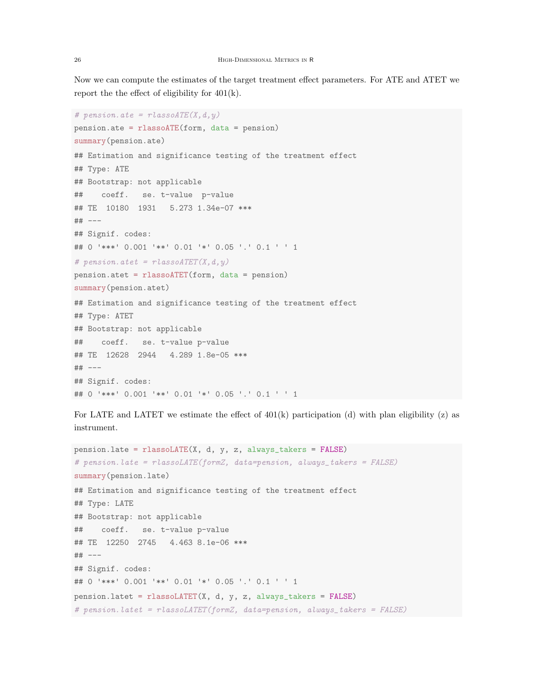Now we can compute the estimates of the target treatment effect parameters. For ATE and ATET we report the the effect of eligibility for  $401(k)$ .

```
# pension.ate = rlassoATE(X, d, y)pension.ate = rlassoATE(form, data = pension)
summary(pension.ate)
## Estimation and significance testing of the treatment effect
## Type: ATE
## Bootstrap: not applicable
## coeff. se. t-value p-value
## TE 10180 1931 5.273 1.34e-07 ***
## ---
## Signif. codes:
## 0 '***' 0.001 '**' 0.01 '*' 0.05 '.' 0.1 ' ' 1
# pension.atet = rlassoATET(X, d, y)
pension.atet = rlassoATET(form, data = pension)
summary(pension.atet)
## Estimation and significance testing of the treatment effect
## Type: ATET
## Bootstrap: not applicable
## coeff. se. t-value p-value
## TE 12628 2944 4.289 1.8e-05 ***
## ---
## Signif. codes:
## 0 '***' 0.001 '**' 0.01 '*' 0.05 '.' 0.1 ' ' 1
```
For LATE and LATET we estimate the effect of  $401(k)$  participation (d) with plan eligibility (z) as instrument.

```
pension.late = rlassoLATE(X, d, y, z, always_takers = FALSE)
# pension.late = rlassoLATE(formZ, data=pension, always_takers = FALSE)
summary(pension.late)
## Estimation and significance testing of the treatment effect
## Type: LATE
## Bootstrap: not applicable
## coeff. se. t-value p-value
## TE 12250 2745 4.463 8.1e-06 ***
## ---
## Signif. codes:
## 0 '***' 0.001 '**' 0.01 '*' 0.05 '.' 0.1 ' ' 1
pension.latet = rlassoLATET(X, d, y, z, always_takers = FALSE)
# pension.latet = rlassoLATET(formZ, data=pension, always_takers = FALSE)
```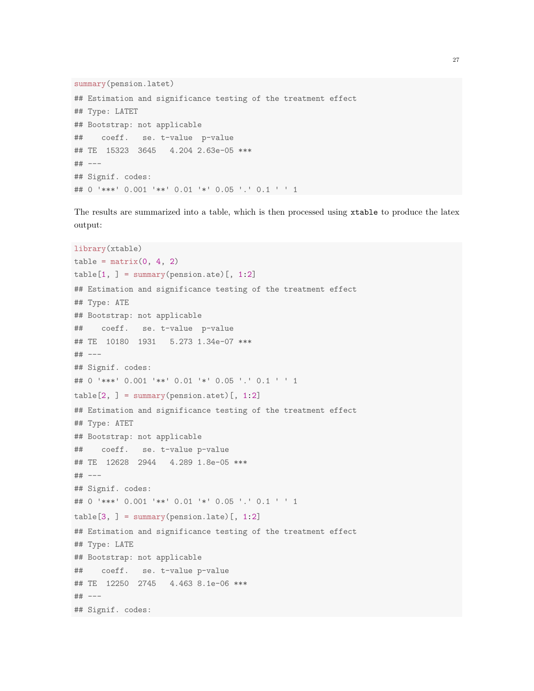```
summary(pension.latet)
## Estimation and significance testing of the treatment effect
## Type: LATET
## Bootstrap: not applicable
## coeff. se. t-value p-value
## TE 15323 3645 4.204 2.63e-05 ***
## ---
## Signif. codes:
## 0 '***' 0.001 '**' 0.01 '*' 0.05 '.' 0.1 ' ' 1
```
The results are summarized into a table, which is then processed using xtable to produce the latex output:

```
library(xtable)
table = matrix(0, 4, 2)table[1, ] = summary(pension.ate) [, 1:2]## Estimation and significance testing of the treatment effect
## Type: ATE
## Bootstrap: not applicable
## coeff. se. t-value p-value
## TE 10180 1931 5.273 1.34e-07 ***
## ---
## Signif. codes:
## 0 '***' 0.001 '**' 0.01 '*' 0.05 '.' 0.1 ' ' 1
table[2, ] = summary(pension.att)[, 1:2]## Estimation and significance testing of the treatment effect
## Type: ATET
## Bootstrap: not applicable
## coeff. se. t-value p-value
## TE 12628 2944 4.289 1.8e-05 ***
## ---
## Signif. codes:
## 0 '***' 0.001 '**' 0.01 '*' 0.05 '.' 0.1 ' ' 1
table[3, ] = summary(pension.late)[, 1:2]## Estimation and significance testing of the treatment effect
## Type: LATE
## Bootstrap: not applicable
## coeff. se. t-value p-value
## TE 12250 2745 4.463 8.1e-06 ***
## ---
## Signif. codes:
```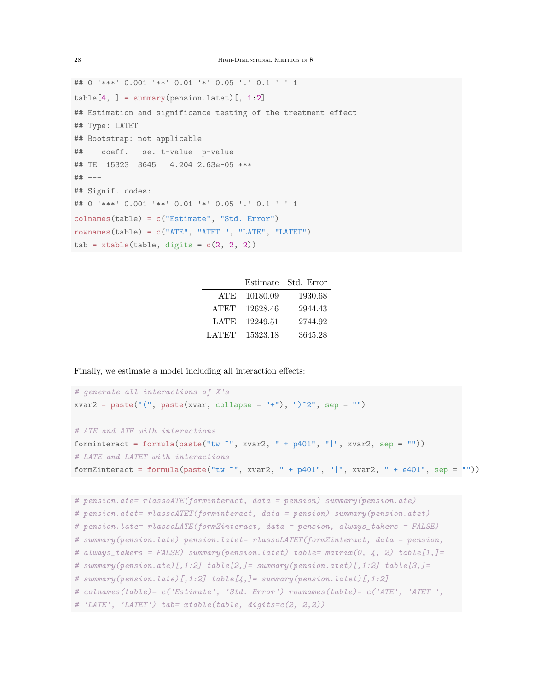```
## 0 '***' 0.001 '**' 0.01 '*' 0.05 '.' 0.1 ' ' 1
table[4, ] = summary(pension.lated)[, 1:2]## Estimation and significance testing of the treatment effect
## Type: LATET
## Bootstrap: not applicable
## coeff. se. t-value p-value
## TE 15323 3645 4.204 2.63e-05 ***
## ---
## Signif. codes:
## 0 '***' 0.001 '**' 0.01 '*' 0.05 '.' 0.1 ' ' 1
colnames(table) = c("Estimate", "Std. Error")
rownames(table) = c("ATE", "ATET ", "LATE", "LATET")
tab = xtable(table, digits = c(2, 2, 2))
```

|             | Estimate | Std. Error |
|-------------|----------|------------|
| ATE         | 10180.09 | 1930.68    |
| <b>ATET</b> | 12628.46 | 2944.43    |
| <b>LATE</b> | 12249.51 | 2744.92    |
| LATET       | 15323.18 | 3645.28    |

Finally, we estimate a model including all interaction effects:

```
# generate all interactions of X's
xvar2 = paste("", paste(xvar, collapse = "+"), ")^2", sep = "")# ATE and ATE with interactions
forminteract = formula(paste("tw \tilde{}}", xvar2, " + p401", "|", xvar2, sep = ""))
# LATE and LATET with interactions
formZinteract = formula(paste("tw ~", xvar2, " + p401", "|", xvar2, " + e401", sep = ""))
```

```
# pension.ate= rlassoATE(forminteract, data = pension) summary(pension.ate)
# pension.atet= rlassoATET(forminteract, data = pension) summary(pension.atet)
# pension.late= rlassoLATE(formZinteract, data = pension, always_takers = FALSE)
# summary(pension.late) pension.latet= rlassoLATET(formZinteract, data = pension,
# always_takers = FALSE) summary(pension.latet) table= matrix(0, 4, 2) table[1,]=
# summary(pension.ate)[,1:2] table[2,]= summary(pension.atet)[,1:2] table[3,]=
# summary(pension.late)[,1:2] table[\downarrow,]= summary(pension.latet)[,1:2]
# colnames(table)= c('Estimate', 'Std. Error') rownames(table)= c('ATE', 'ATET ',
# 'LATE', 'LATET') tab= xtable(table, digits=c(2, 2,2))
```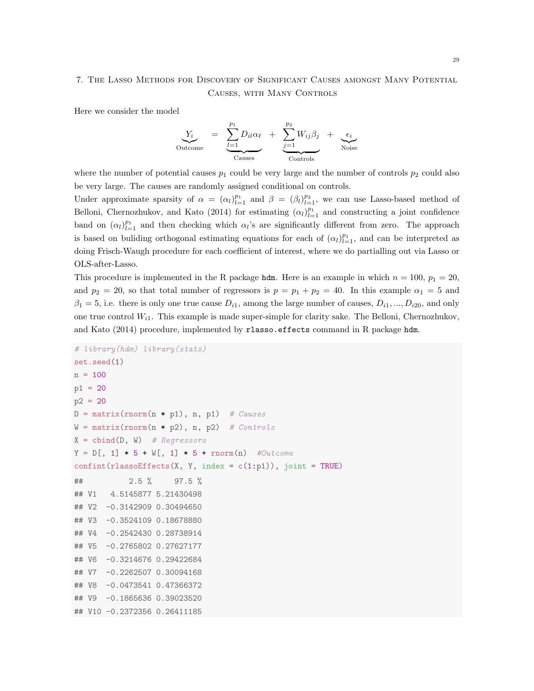# 7. The Lasso Methods for Discovery of Significant Causes amongst Many Potential Causes, with Many Controls

Here we consider the model

$$
Y_i
$$
 
$$
= \underbrace{Y_i}_{\text{Outcome}} = \underbrace{Y_i}_{\text{Causes}} D_{il} \alpha_{\ell} + \underbrace{Y_i}_{\text{2-1}} W_{ij} \beta_j + \underbrace{\epsilon_i}_{\text{Noise}}
$$

where the number of potential causes  $p_1$  could be very large and the number of controls  $p_2$  could also be very large. The causes are randomly assigned conditional on controls.

Under approximate sparsity of  $\alpha = (\alpha_l)_{l=1}^{p_1}$  and  $\beta = (\beta_l)_{l=1}^{p_2}$ , we can use Lasso-based method of Belloni, Chernozhukov, and Kato (2014) for estimating  $(\alpha_l)_{l=1}^{p_1}$  and constructing a joint confidence band on  $(\alpha_l)_{l=1}^{p_1}$  and then checking which  $\alpha_l$ 's are significantly different from zero. The approach is based on buliding orthogonal estimating equations for each of  $(\alpha_l)_{l=1}^{p_1}$ , and can be interpreted as doing Frisch-Waugh procedure for each coefficient of interest, where we do partialling out via Lasso or OLS-after-Lasso.

This procedure is implemented in the R package **hdm**. Here is an example in which  $n = 100$ ,  $p_1 = 20$ , and  $p_2 = 20$ , so that total number of regressors is  $p = p_1 + p_2 = 40$ . In this example  $\alpha_1 = 5$  and  $\beta_1 = 5$ , i.e. there is only one true cause  $D_{i1}$ , among the large number of causes,  $D_{i1}, ..., D_{i20}$ , and only one true control  $W_{i1}$ . This example is made super-simple for clarity sake. The Belloni, Chernozhukov, and Kato (2014) procedure, implemented by rlasso.effects command in R package hdm.

```
# library(hdm) library(stats)
set.seed(1)
n = 100p1 = 20
p2 = 20D = matrix( {rnorm(n * p1), n, p1} ) # Causes
W = matrix( {rnorm(n * p2), n, p2} ) # Controls
X = \text{cbind}(D, W) # Regressors
Y = D[, 1] * 5 + W[, 1] * 5 + rnorm(n) #Outcome
confint(rlassoEffects(X, Y, index = c(1:p1)), joint = TRUE)## 2.5 % 97.5 %
## V1 4.5145877 5.21430498
## V2 -0.3142909 0.30494650
## V3 -0.3524109 0.18678880
## V4 -0.2542430 0.28738914
## V5 -0.2765802 0.27627177
## V6 -0.3214676 0.29422684
## V7 -0.2262507 0.30094168
## V8 -0.0473541 0.47366372
## V9 -0.1865636 0.39023520
## V10 -0.2372356 0.26411185
```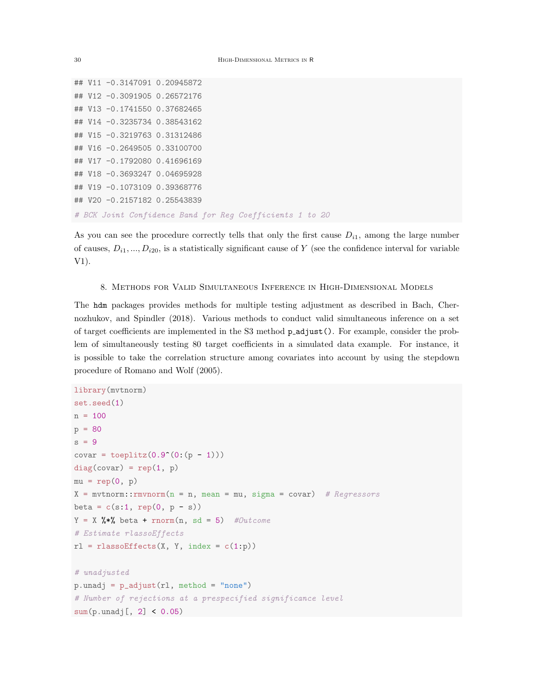```
## V11 -0.3147091 0.20945872
## V12 -0.3091905 0.26572176
## V13 -0.1741550 0.37682465
## V14 -0.3235734 0.38543162
## V15 -0.3219763 0.31312486
## V16 -0.2649505 0.33100700
## V17 -0.1792080 0.41696169
## V18 -0.3693247 0.04695928
## V19 -0.1073109 0.39368776
## V20 -0.2157182 0.25543839
# BCK Joint Confidence Band for Reg Coefficients 1 to 20
```
As you can see the procedure correctly tells that only the first cause  $D_{i1}$ , among the large number of causes,  $D_{i1},...,D_{i20}$ , is a statistically significant cause of Y (see the confidence interval for variable V1).

### 8. Methods for Valid Simultaneous Inference in High-Dimensional Models

The hdm packages provides methods for multiple testing adjustment as described in Bach, Chernozhukov, and Spindler (2018). Various methods to conduct valid simultaneous inference on a set of target coefficients are implemented in the S3 method p adjust(). For example, consider the problem of simultaneously testing 80 target coefficients in a simulated data example. For instance, it is possible to take the correlation structure among covariates into account by using the stepdown procedure of Romano and Wolf (2005).

```
library(mvtnorm)
set.seed(1)
n = 100
p = 80s = 9covar = toeplitz(0.9^*(0:(p - 1)))diag(covar) = rep(1, p)mu = rep(0, p)X = mvtnorm:: rmvnorm(n = n, mean = mu, sigma = covar) # Regressors
beta = c(s:1, rep(0, p - s))Y = X %*% beta + rnorm(n, sd = 5) #Outcome
# Estimate rlassoEffects
r1 = rlassoEffects(X, Y, index = c(1:p))
# unadjusted
p.unadj = p\_adjust(r1, method = "none")# Number of rejections at a prespecified significance level
sum(p.unadj[, 2] < 0.05)
```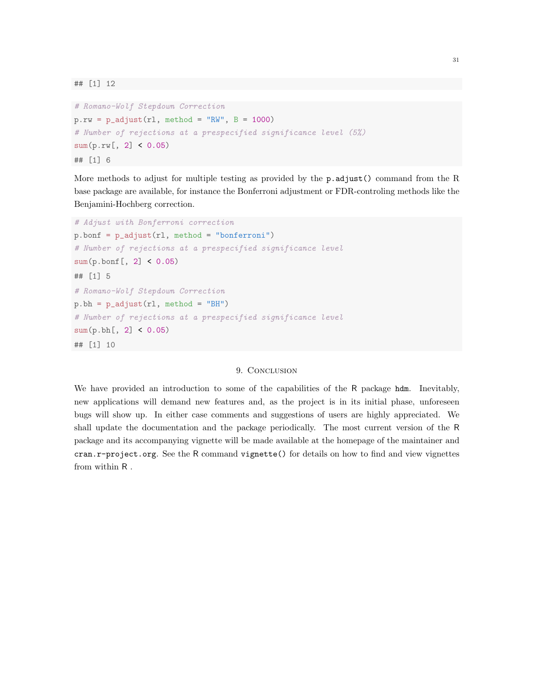```
# Romano-Wolf Stepdown Correction
p.rw = p\_adjust(r1, method = "RW", B = 1000)# Number of rejections at a prespecified significance level (5%)
sum(p.rw[, 2] < 0.05)## [1] 6
```
More methods to adjust for multiple testing as provided by the p.adjust() command from the R base package are available, for instance the Bonferroni adjustment or FDR-controling methods like the Benjamini-Hochberg correction.

```
# Adjust with Bonferroni correction
p.bonf = p_adjust(rl, method = "bonferroni")
# Number of rejections at a prespecified significance level
sum(p.bonf[, 2] < 0.05)## [1] 5
# Romano-Wolf Stepdown Correction
p.bh = p\_adjust(r1, method = "BH")# Number of rejections at a prespecified significance level
sum(p.bh[, 2] < 0.05)## [1] 10
```
# 9. CONCLUSION

We have provided an introduction to some of the capabilities of the R package hdm. Inevitably, new applications will demand new features and, as the project is in its initial phase, unforeseen bugs will show up. In either case comments and suggestions of users are highly appreciated. We shall update the documentation and the package periodically. The most current version of the R package and its accompanying vignette will be made available at the homepage of the maintainer and cran.r-project.org. See the R command vignette() for details on how to find and view vignettes from within R .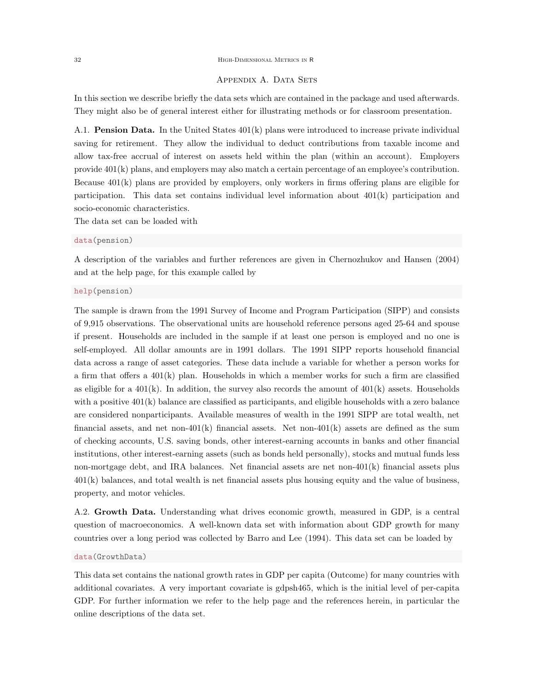#### 32 High-Dimensional Metrics in R

# APPENDIX A. DATA SETS

In this section we describe briefly the data sets which are contained in the package and used afterwards. They might also be of general interest either for illustrating methods or for classroom presentation.

A.1. **Pension Data.** In the United States  $401(k)$  plans were introduced to increase private individual saving for retirement. They allow the individual to deduct contributions from taxable income and allow tax-free accrual of interest on assets held within the plan (within an account). Employers provide 401(k) plans, and employers may also match a certain percentage of an employee's contribution. Because 401(k) plans are provided by employers, only workers in firms offering plans are eligible for participation. This data set contains individual level information about 401(k) participation and socio-economic characteristics.

The data set can be loaded with

## data(pension)

A description of the variables and further references are given in Chernozhukov and Hansen (2004) and at the help page, for this example called by

#### help(pension)

The sample is drawn from the 1991 Survey of Income and Program Participation (SIPP) and consists of 9,915 observations. The observational units are household reference persons aged 25-64 and spouse if present. Households are included in the sample if at least one person is employed and no one is self-employed. All dollar amounts are in 1991 dollars. The 1991 SIPP reports household financial data across a range of asset categories. These data include a variable for whether a person works for a firm that offers a  $401(k)$  plan. Households in which a member works for such a firm are classified as eligible for a  $401(k)$ . In addition, the survey also records the amount of  $401(k)$  assets. Households with a positive  $401(k)$  balance are classified as participants, and eligible households with a zero balance are considered nonparticipants. Available measures of wealth in the 1991 SIPP are total wealth, net financial assets, and net non-401(k) financial assets. Net non-401(k) assets are defined as the sum of checking accounts, U.S. saving bonds, other interest-earning accounts in banks and other financial institutions, other interest-earning assets (such as bonds held personally), stocks and mutual funds less non-mortgage debt, and IRA balances. Net financial assets are net non-401(k) financial assets plus 401(k) balances, and total wealth is net financial assets plus housing equity and the value of business, property, and motor vehicles.

A.2. Growth Data. Understanding what drives economic growth, measured in GDP, is a central question of macroeconomics. A well-known data set with information about GDP growth for many countries over a long period was collected by Barro and Lee (1994). This data set can be loaded by

## data(GrowthData)

This data set contains the national growth rates in GDP per capita (Outcome) for many countries with additional covariates. A very important covariate is gdpsh465, which is the initial level of per-capita GDP. For further information we refer to the help page and the references herein, in particular the online descriptions of the data set.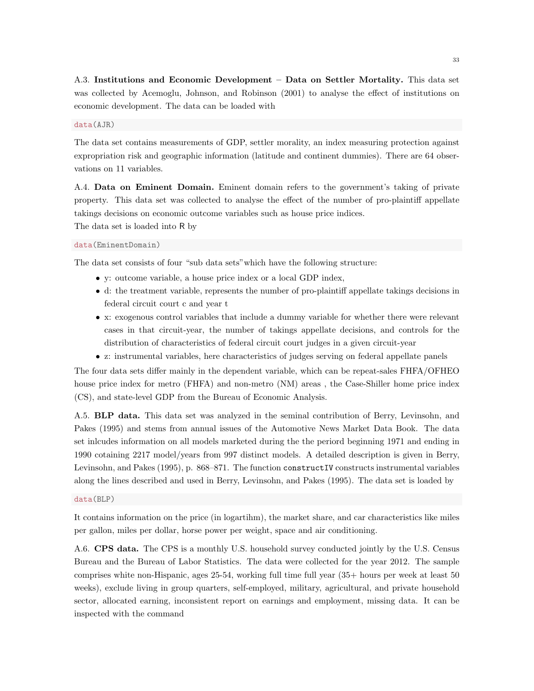A.3. Institutions and Economic Development – Data on Settler Mortality. This data set was collected by Acemoglu, Johnson, and Robinson (2001) to analyse the effect of institutions on economic development. The data can be loaded with

# data(AJR)

The data set contains measurements of GDP, settler morality, an index measuring protection against expropriation risk and geographic information (latitude and continent dummies). There are 64 observations on 11 variables.

A.4. Data on Eminent Domain. Eminent domain refers to the government's taking of private property. This data set was collected to analyse the effect of the number of pro-plaintiff appellate takings decisions on economic outcome variables such as house price indices. The data set is loaded into R by

data(EminentDomain)

The data set consists of four "sub data sets"which have the following structure:

- y: outcome variable, a house price index or a local GDP index,
- d: the treatment variable, represents the number of pro-plaintiff appellate takings decisions in federal circuit court c and year t
- x: exogenous control variables that include a dummy variable for whether there were relevant cases in that circuit-year, the number of takings appellate decisions, and controls for the distribution of characteristics of federal circuit court judges in a given circuit-year
- z: instrumental variables, here characteristics of judges serving on federal appellate panels

The four data sets differ mainly in the dependent variable, which can be repeat-sales FHFA/OFHEO house price index for metro (FHFA) and non-metro (NM) areas, the Case-Shiller home price index (CS), and state-level GDP from the Bureau of Economic Analysis.

A.5. BLP data. This data set was analyzed in the seminal contribution of Berry, Levinsohn, and Pakes (1995) and stems from annual issues of the Automotive News Market Data Book. The data set inlcudes information on all models marketed during the the periord beginning 1971 and ending in 1990 cotaining 2217 model/years from 997 distinct models. A detailed description is given in Berry, Levinsohn, and Pakes (1995), p. 868–871. The function constructIV constructs instrumental variables along the lines described and used in Berry, Levinsohn, and Pakes (1995). The data set is loaded by

#### data(BLP)

It contains information on the price (in logartihm), the market share, and car characteristics like miles per gallon, miles per dollar, horse power per weight, space and air conditioning.

A.6. CPS data. The CPS is a monthly U.S. household survey conducted jointly by the U.S. Census Bureau and the Bureau of Labor Statistics. The data were collected for the year 2012. The sample comprises white non-Hispanic, ages 25-54, working full time full year (35+ hours per week at least 50 weeks), exclude living in group quarters, self-employed, military, agricultural, and private household sector, allocated earning, inconsistent report on earnings and employment, missing data. It can be inspected with the command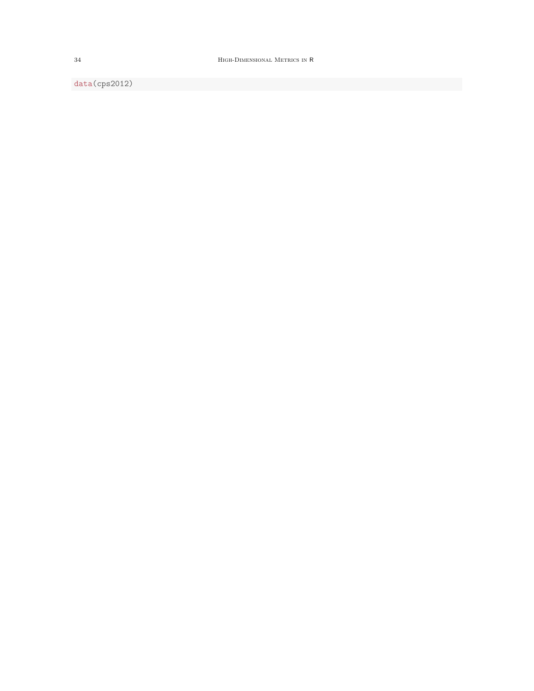34 High-Dimensional Metrics in R

data(cps2012)